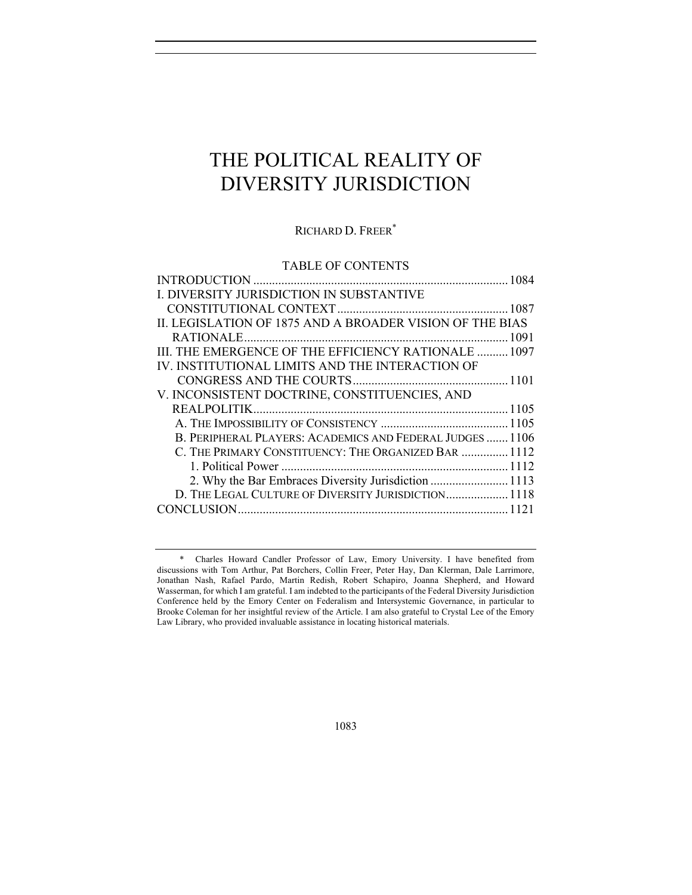# THE POLITICAL REALITY OF DIVERSITY JURISDICTION

# RICHARD D. FREER\*

## TABLE OF CONTENTS

| I. DIVERSITY JURISDICTION IN SUBSTANTIVE                  |  |
|-----------------------------------------------------------|--|
|                                                           |  |
| II. LEGISLATION OF 1875 AND A BROADER VISION OF THE BIAS  |  |
|                                                           |  |
| III. THE EMERGENCE OF THE EFFICIENCY RATIONALE  1097      |  |
| IV. INSTITUTIONAL LIMITS AND THE INTERACTION OF           |  |
|                                                           |  |
| V. INCONSISTENT DOCTRINE, CONSTITUENCIES, AND             |  |
|                                                           |  |
|                                                           |  |
| B. PERIPHERAL PLAYERS: ACADEMICS AND FEDERAL JUDGES  1106 |  |
| C. THE PRIMARY CONSTITUENCY: THE ORGANIZED BAR  1112      |  |
|                                                           |  |
| 2. Why the Bar Embraces Diversity Jurisdiction  1113      |  |
| D. THE LEGAL CULTURE OF DIVERSITY JURISDICTION 1118       |  |
|                                                           |  |

<sup>\*</sup> Charles Howard Candler Professor of Law, Emory University. I have benefited from discussions with Tom Arthur, Pat Borchers, Collin Freer, Peter Hay, Dan Klerman, Dale Larrimore, Jonathan Nash, Rafael Pardo, Martin Redish, Robert Schapiro, Joanna Shepherd, and Howard Wasserman, for which I am grateful. I am indebted to the participants of the Federal Diversity Jurisdiction Conference held by the Emory Center on Federalism and Intersystemic Governance, in particular to Brooke Coleman for her insightful review of the Article. I am also grateful to Crystal Lee of the Emory Law Library, who provided invaluable assistance in locating historical materials.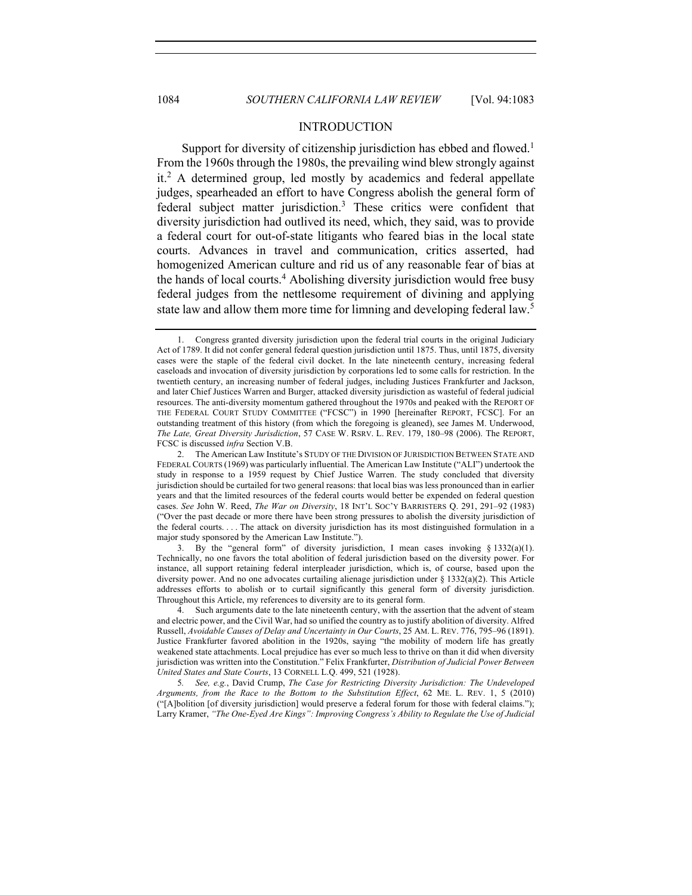## INTRODUCTION

Support for diversity of citizenship jurisdiction has ebbed and flowed.<sup>1</sup> From the 1960s through the 1980s, the prevailing wind blew strongly against  $it<sup>2</sup>$  A determined group, led mostly by academics and federal appellate judges, spearheaded an effort to have Congress abolish the general form of federal subject matter jurisdiction.3 These critics were confident that diversity jurisdiction had outlived its need, which, they said, was to provide a federal court for out-of-state litigants who feared bias in the local state courts. Advances in travel and communication, critics asserted, had homogenized American culture and rid us of any reasonable fear of bias at the hands of local courts.<sup>4</sup> Abolishing diversity jurisdiction would free busy federal judges from the nettlesome requirement of divining and applying state law and allow them more time for limning and developing federal law.<sup>5</sup>

3. By the "general form" of diversity jurisdiction, I mean cases invoking § 1332(a)(1). Technically, no one favors the total abolition of federal jurisdiction based on the diversity power. For instance, all support retaining federal interpleader jurisdiction, which is, of course, based upon the diversity power. And no one advocates curtailing alienage jurisdiction under  $\S 1332(a)(2)$ . This Article addresses efforts to abolish or to curtail significantly this general form of diversity jurisdiction. Throughout this Article, my references to diversity are to its general form.

4. Such arguments date to the late nineteenth century, with the assertion that the advent of steam and electric power, and the Civil War, had so unified the country as to justify abolition of diversity. Alfred Russell, *Avoidable Causes of Delay and Uncertainty in Our Courts*, 25 AM. L. REV. 776, 795–96 (1891). Justice Frankfurter favored abolition in the 1920s, saying "the mobility of modern life has greatly weakened state attachments. Local prejudice has ever so much less to thrive on than it did when diversity jurisdiction was written into the Constitution." Felix Frankfurter, *Distribution of Judicial Power Between United States and State Courts*, 13 CORNELL L.Q. 499, 521 (1928).

5*. See, e.g.*, David Crump, *The Case for Restricting Diversity Jurisdiction: The Undeveloped Arguments, from the Race to the Bottom to the Substitution Effect*, 62 ME. L. REV. 1, 5 (2010) ("[A]bolition [of diversity jurisdiction] would preserve a federal forum for those with federal claims."); Larry Kramer, *"The One-Eyed Are Kings": Improving Congress's Ability to Regulate the Use of Judicial* 

<sup>1.</sup> Congress granted diversity jurisdiction upon the federal trial courts in the original Judiciary Act of 1789. It did not confer general federal question jurisdiction until 1875. Thus, until 1875, diversity cases were the staple of the federal civil docket. In the late nineteenth century, increasing federal caseloads and invocation of diversity jurisdiction by corporations led to some calls for restriction. In the twentieth century, an increasing number of federal judges, including Justices Frankfurter and Jackson, and later Chief Justices Warren and Burger, attacked diversity jurisdiction as wasteful of federal judicial resources. The anti-diversity momentum gathered throughout the 1970s and peaked with the REPORT OF THE FEDERAL COURT STUDY COMMITTEE ("FCSC") in 1990 [hereinafter REPORT, FCSC]. For an outstanding treatment of this history (from which the foregoing is gleaned), see James M. Underwood, *The Late, Great Diversity Jurisdiction*, 57 CASE W. RSRV. L. REV. 179, 180–98 (2006). The REPORT, FCSC is discussed *infra* Section V.B.

<sup>2.</sup> The American Law Institute's STUDY OF THE DIVISION OF JURISDICTION BETWEEN STATE AND FEDERAL COURTS (1969) was particularly influential. The American Law Institute ("ALI") undertook the study in response to a 1959 request by Chief Justice Warren. The study concluded that diversity jurisdiction should be curtailed for two general reasons: that local bias was less pronounced than in earlier years and that the limited resources of the federal courts would better be expended on federal question cases. *See* John W. Reed, *The War on Diversity*, 18 INT'L SOC'Y BARRISTERS Q. 291, 291–92 (1983) ("Over the past decade or more there have been strong pressures to abolish the diversity jurisdiction of the federal courts. . . . The attack on diversity jurisdiction has its most distinguished formulation in a major study sponsored by the American Law Institute.").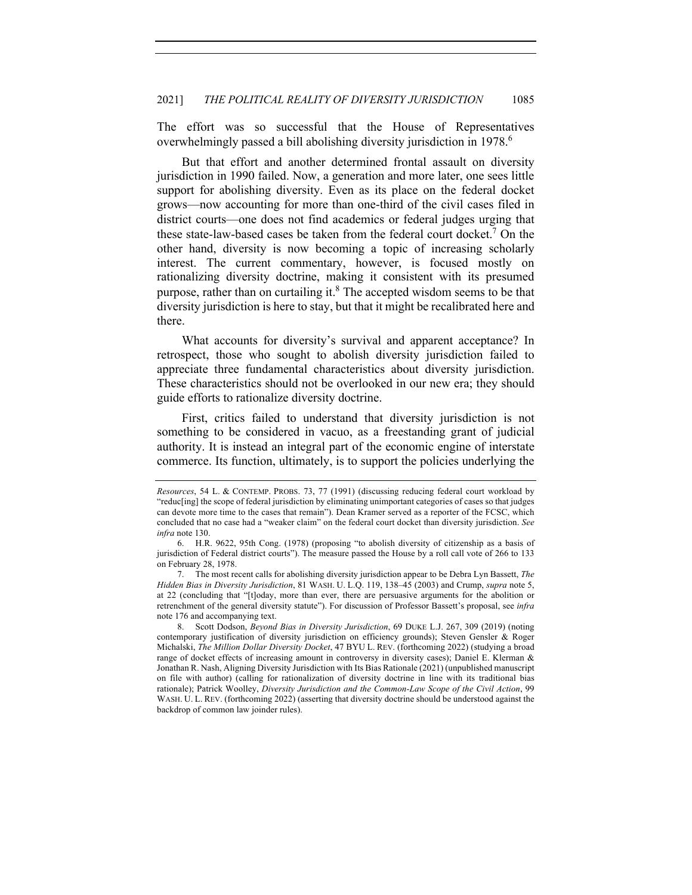The effort was so successful that the House of Representatives overwhelmingly passed a bill abolishing diversity jurisdiction in 1978.<sup>6</sup>

But that effort and another determined frontal assault on diversity jurisdiction in 1990 failed. Now, a generation and more later, one sees little support for abolishing diversity. Even as its place on the federal docket grows—now accounting for more than one-third of the civil cases filed in district courts—one does not find academics or federal judges urging that these state-law-based cases be taken from the federal court docket.<sup>7</sup> On the other hand, diversity is now becoming a topic of increasing scholarly interest. The current commentary, however, is focused mostly on rationalizing diversity doctrine, making it consistent with its presumed purpose, rather than on curtailing it. $8$  The accepted wisdom seems to be that diversity jurisdiction is here to stay, but that it might be recalibrated here and there.

What accounts for diversity's survival and apparent acceptance? In retrospect, those who sought to abolish diversity jurisdiction failed to appreciate three fundamental characteristics about diversity jurisdiction. These characteristics should not be overlooked in our new era; they should guide efforts to rationalize diversity doctrine.

First, critics failed to understand that diversity jurisdiction is not something to be considered in vacuo, as a freestanding grant of judicial authority. It is instead an integral part of the economic engine of interstate commerce. Its function, ultimately, is to support the policies underlying the

*Resources*, 54 L. & CONTEMP. PROBS. 73, 77 (1991) (discussing reducing federal court workload by "reduc[ing] the scope of federal jurisdiction by eliminating unimportant categories of cases so that judges can devote more time to the cases that remain"). Dean Kramer served as a reporter of the FCSC, which concluded that no case had a "weaker claim" on the federal court docket than diversity jurisdiction. *See infra* note 130.

<sup>6.</sup> H.R. 9622, 95th Cong. (1978) (proposing "to abolish diversity of citizenship as a basis of jurisdiction of Federal district courts"). The measure passed the House by a roll call vote of 266 to 133 on February 28, 1978.

<sup>7.</sup> The most recent calls for abolishing diversity jurisdiction appear to be Debra Lyn Bassett, *The Hidden Bias in Diversity Jurisdiction*, 81 WASH. U. L.Q. 119, 138–45 (2003) and Crump, *supra* note 5, at 22 (concluding that "[t]oday, more than ever, there are persuasive arguments for the abolition or retrenchment of the general diversity statute"). For discussion of Professor Bassett's proposal, see *infra*  note 176 and accompanying text.

<sup>8.</sup> Scott Dodson, *Beyond Bias in Diversity Jurisdiction*, 69 DUKE L.J. 267, 309 (2019) (noting contemporary justification of diversity jurisdiction on efficiency grounds); Steven Gensler & Roger Michalski, *The Million Dollar Diversity Docket*, 47 BYU L. REV. (forthcoming 2022) (studying a broad range of docket effects of increasing amount in controversy in diversity cases); Daniel E. Klerman & Jonathan R. Nash, Aligning Diversity Jurisdiction with Its Bias Rationale (2021) (unpublished manuscript on file with author) (calling for rationalization of diversity doctrine in line with its traditional bias rationale); Patrick Woolley, *Diversity Jurisdiction and the Common-Law Scope of the Civil Action*, 99 WASH. U. L. REV. (forthcoming 2022) (asserting that diversity doctrine should be understood against the backdrop of common law joinder rules).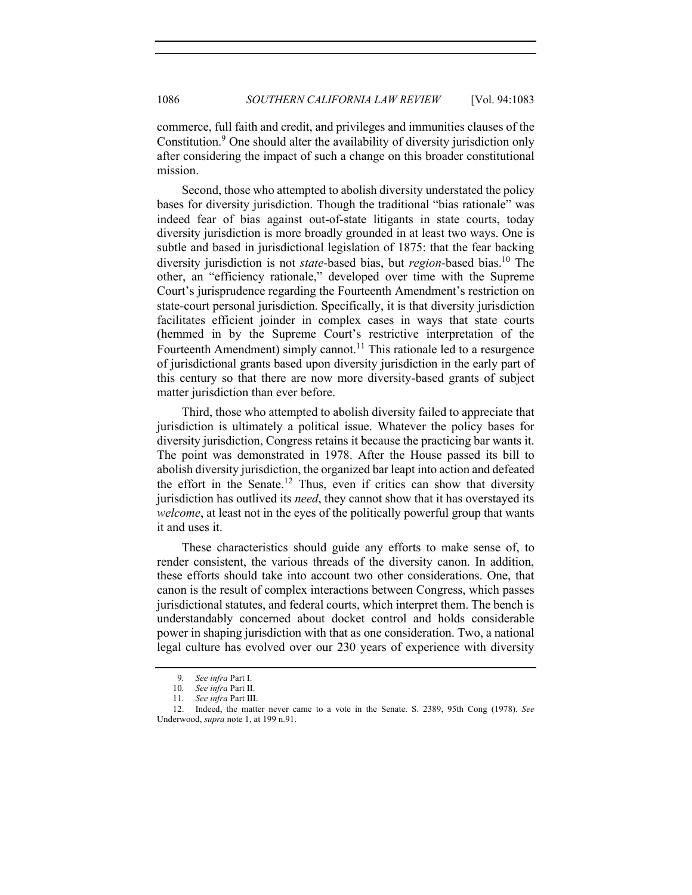commerce, full faith and credit, and privileges and immunities clauses of the Constitution.<sup>9</sup> One should alter the availability of diversity jurisdiction only after considering the impact of such a change on this broader constitutional mission.

Second, those who attempted to abolish diversity understated the policy bases for diversity jurisdiction. Though the traditional "bias rationale" was indeed fear of bias against out-of-state litigants in state courts, today diversity jurisdiction is more broadly grounded in at least two ways. One is subtle and based in jurisdictional legislation of 1875: that the fear backing diversity jurisdiction is not *state*-based bias, but *region*-based bias.10 The other, an "efficiency rationale," developed over time with the Supreme Court's jurisprudence regarding the Fourteenth Amendment's restriction on state-court personal jurisdiction. Specifically, it is that diversity jurisdiction facilitates efficient joinder in complex cases in ways that state courts (hemmed in by the Supreme Court's restrictive interpretation of the Fourteenth Amendment) simply cannot.<sup>11</sup> This rationale led to a resurgence of jurisdictional grants based upon diversity jurisdiction in the early part of this century so that there are now more diversity-based grants of subject matter jurisdiction than ever before.

Third, those who attempted to abolish diversity failed to appreciate that jurisdiction is ultimately a political issue. Whatever the policy bases for diversity jurisdiction, Congress retains it because the practicing bar wants it. The point was demonstrated in 1978. After the House passed its bill to abolish diversity jurisdiction, the organized bar leapt into action and defeated the effort in the Senate.<sup>12</sup> Thus, even if critics can show that diversity jurisdiction has outlived its *need*, they cannot show that it has overstayed its *welcome*, at least not in the eyes of the politically powerful group that wants it and uses it.

These characteristics should guide any efforts to make sense of, to render consistent, the various threads of the diversity canon. In addition, these efforts should take into account two other considerations. One, that canon is the result of complex interactions between Congress, which passes jurisdictional statutes, and federal courts, which interpret them. The bench is understandably concerned about docket control and holds considerable power in shaping jurisdiction with that as one consideration. Two, a national legal culture has evolved over our 230 years of experience with diversity

<sup>9</sup>*. See infra* Part I.

<sup>10</sup>*. See infra* Part II.

<sup>11</sup>*. See infra* Part III.

<sup>12.</sup> Indeed, the matter never came to a vote in the Senate. S. 2389, 95th Cong (1978). *See*  Underwood, *supra* note 1, at 199 n.91.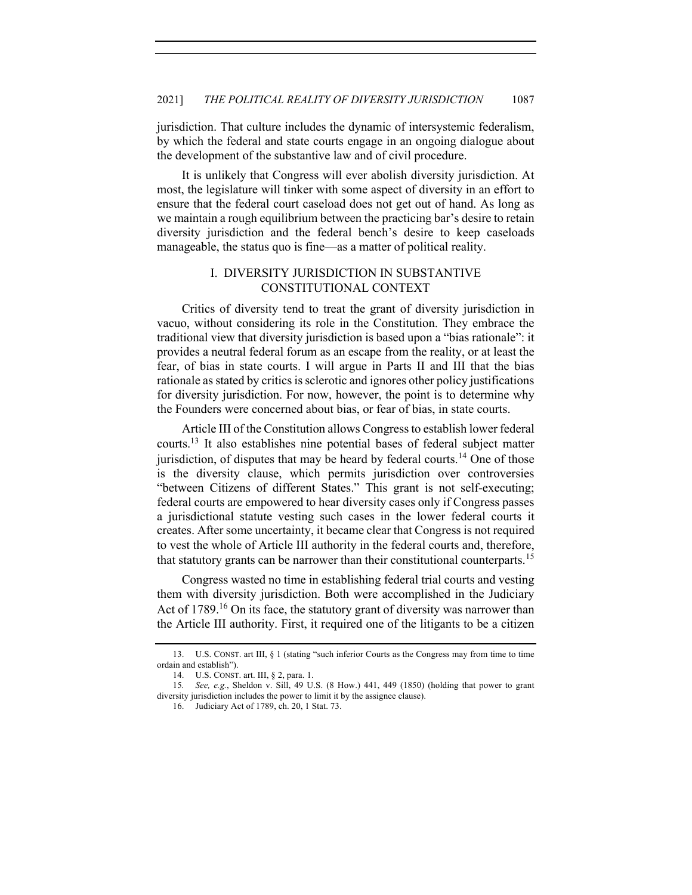jurisdiction. That culture includes the dynamic of intersystemic federalism, by which the federal and state courts engage in an ongoing dialogue about the development of the substantive law and of civil procedure.

It is unlikely that Congress will ever abolish diversity jurisdiction. At most, the legislature will tinker with some aspect of diversity in an effort to ensure that the federal court caseload does not get out of hand. As long as we maintain a rough equilibrium between the practicing bar's desire to retain diversity jurisdiction and the federal bench's desire to keep caseloads manageable, the status quo is fine—as a matter of political reality.

# I. DIVERSITY JURISDICTION IN SUBSTANTIVE CONSTITUTIONAL CONTEXT

Critics of diversity tend to treat the grant of diversity jurisdiction in vacuo, without considering its role in the Constitution. They embrace the traditional view that diversity jurisdiction is based upon a "bias rationale": it provides a neutral federal forum as an escape from the reality, or at least the fear, of bias in state courts. I will argue in Parts II and III that the bias rationale as stated by critics is sclerotic and ignores other policy justifications for diversity jurisdiction. For now, however, the point is to determine why the Founders were concerned about bias, or fear of bias, in state courts.

Article III of the Constitution allows Congress to establish lower federal courts.13 It also establishes nine potential bases of federal subject matter jurisdiction, of disputes that may be heard by federal courts.<sup>14</sup> One of those is the diversity clause, which permits jurisdiction over controversies "between Citizens of different States." This grant is not self-executing; federal courts are empowered to hear diversity cases only if Congress passes a jurisdictional statute vesting such cases in the lower federal courts it creates. After some uncertainty, it became clear that Congress is not required to vest the whole of Article III authority in the federal courts and, therefore, that statutory grants can be narrower than their constitutional counterparts.<sup>15</sup>

Congress wasted no time in establishing federal trial courts and vesting them with diversity jurisdiction. Both were accomplished in the Judiciary Act of 1789.<sup>16</sup> On its face, the statutory grant of diversity was narrower than the Article III authority. First, it required one of the litigants to be a citizen

<sup>13.</sup> U.S. CONST. art III, § 1 (stating "such inferior Courts as the Congress may from time to time ordain and establish").

<sup>14.</sup> U.S. CONST. art. III, § 2, para. 1.

<sup>15</sup>*. See, e.g.*, Sheldon v. Sill, 49 U.S. (8 How.) 441, 449 (1850) (holding that power to grant diversity jurisdiction includes the power to limit it by the assignee clause).

<sup>16.</sup> Judiciary Act of 1789, ch. 20, 1 Stat. 73.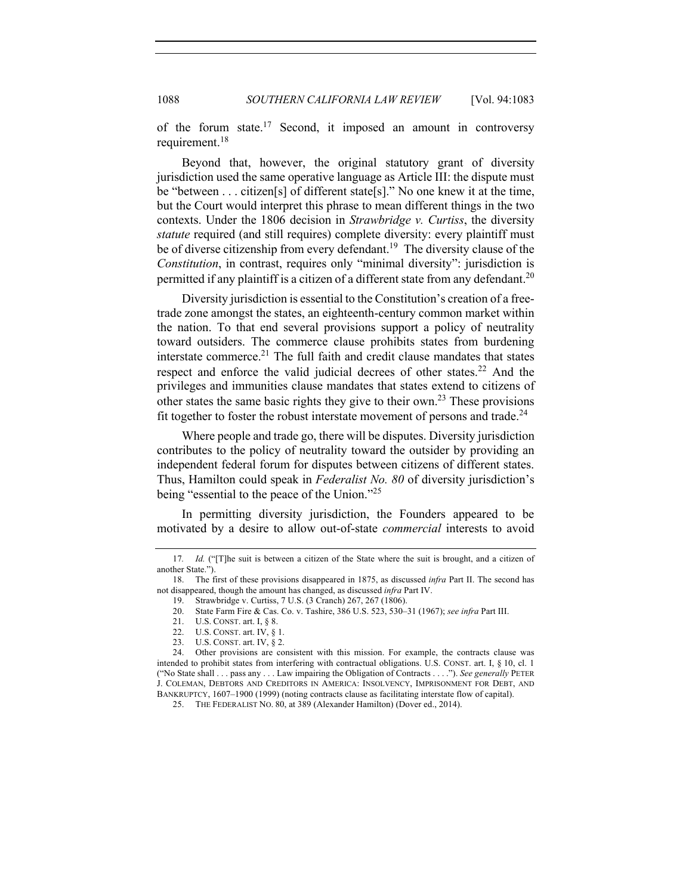of the forum state.<sup>17</sup> Second, it imposed an amount in controversy requirement.<sup>18</sup>

Beyond that, however, the original statutory grant of diversity jurisdiction used the same operative language as Article III: the dispute must be "between . . . citizen[s] of different state[s]." No one knew it at the time, but the Court would interpret this phrase to mean different things in the two contexts. Under the 1806 decision in *Strawbridge v. Curtiss*, the diversity *statute* required (and still requires) complete diversity: every plaintiff must be of diverse citizenship from every defendant.<sup>19</sup> The diversity clause of the *Constitution*, in contrast, requires only "minimal diversity": jurisdiction is permitted if any plaintiff is a citizen of a different state from any defendant.<sup>20</sup>

Diversity jurisdiction is essential to the Constitution's creation of a freetrade zone amongst the states, an eighteenth-century common market within the nation. To that end several provisions support a policy of neutrality toward outsiders. The commerce clause prohibits states from burdening interstate commerce.<sup>21</sup> The full faith and credit clause mandates that states respect and enforce the valid judicial decrees of other states.<sup>22</sup> And the privileges and immunities clause mandates that states extend to citizens of other states the same basic rights they give to their own.<sup>23</sup> These provisions fit together to foster the robust interstate movement of persons and trade.<sup>24</sup>

Where people and trade go, there will be disputes. Diversity jurisdiction contributes to the policy of neutrality toward the outsider by providing an independent federal forum for disputes between citizens of different states. Thus, Hamilton could speak in *Federalist No. 80* of diversity jurisdiction's being "essential to the peace of the Union."<sup>25</sup>

In permitting diversity jurisdiction, the Founders appeared to be motivated by a desire to allow out-of-state *commercial* interests to avoid

<sup>17</sup>*. Id.* ("[T]he suit is between a citizen of the State where the suit is brought, and a citizen of another State.").

<sup>18.</sup> The first of these provisions disappeared in 1875, as discussed *infra* Part II. The second has not disappeared, though the amount has changed, as discussed *infra* Part IV.

<sup>19.</sup> Strawbridge v. Curtiss, 7 U.S. (3 Cranch) 267, 267 (1806).

<sup>20.</sup> State Farm Fire & Cas. Co. v. Tashire, 386 U.S. 523, 530–31 (1967); *see infra* Part III.

<sup>21.</sup> U.S. CONST. art. I, § 8.

<sup>22.</sup> U.S. CONST. art. IV, § 1.

<sup>23.</sup> U.S. CONST. art. IV, § 2.

<sup>24.</sup> Other provisions are consistent with this mission. For example, the contracts clause was intended to prohibit states from interfering with contractual obligations. U.S. CONST. art. I, § 10, cl. 1 ("No State shall . . . pass any . . . Law impairing the Obligation of Contracts . . . ."). *See generally* PETER J. COLEMAN, DEBTORS AND CREDITORS IN AMERICA: INSOLVENCY, IMPRISONMENT FOR DEBT, AND BANKRUPTCY, 1607–1900 (1999) (noting contracts clause as facilitating interstate flow of capital).

<sup>25.</sup> THE FEDERALIST NO. 80, at 389 (Alexander Hamilton) (Dover ed., 2014).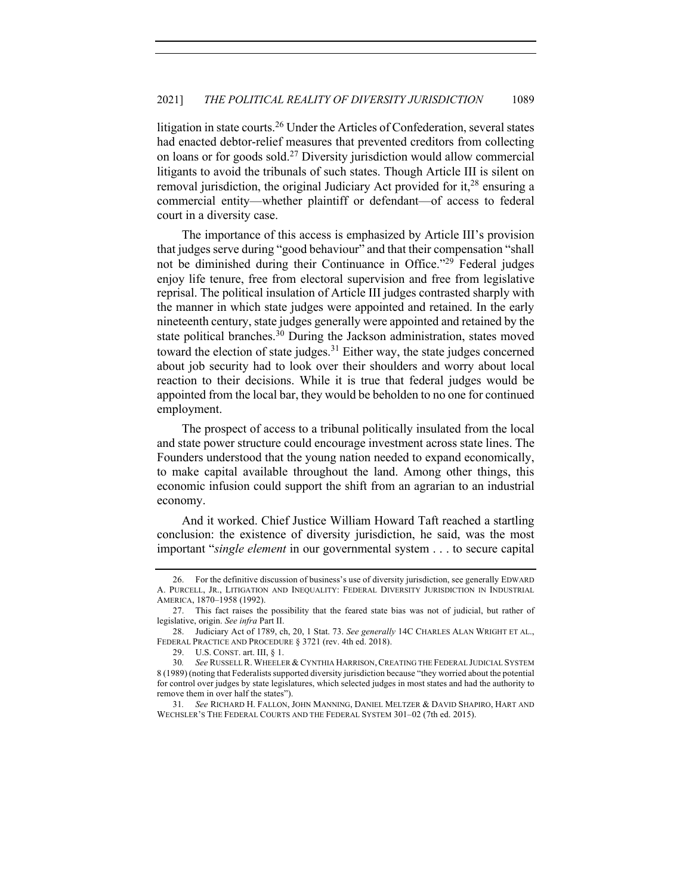litigation in state courts.<sup>26</sup> Under the Articles of Confederation, several states had enacted debtor-relief measures that prevented creditors from collecting on loans or for goods sold.<sup>27</sup> Diversity jurisdiction would allow commercial litigants to avoid the tribunals of such states. Though Article III is silent on removal jurisdiction, the original Judiciary Act provided for it, $28$  ensuring a commercial entity—whether plaintiff or defendant—of access to federal court in a diversity case.

The importance of this access is emphasized by Article III's provision that judges serve during "good behaviour" and that their compensation "shall not be diminished during their Continuance in Office."29 Federal judges enjoy life tenure, free from electoral supervision and free from legislative reprisal. The political insulation of Article III judges contrasted sharply with the manner in which state judges were appointed and retained. In the early nineteenth century, state judges generally were appointed and retained by the state political branches.<sup>30</sup> During the Jackson administration, states moved toward the election of state judges.<sup>31</sup> Either way, the state judges concerned about job security had to look over their shoulders and worry about local reaction to their decisions. While it is true that federal judges would be appointed from the local bar, they would be beholden to no one for continued employment.

The prospect of access to a tribunal politically insulated from the local and state power structure could encourage investment across state lines. The Founders understood that the young nation needed to expand economically, to make capital available throughout the land. Among other things, this economic infusion could support the shift from an agrarian to an industrial economy.

And it worked. Chief Justice William Howard Taft reached a startling conclusion: the existence of diversity jurisdiction, he said, was the most important "*single element* in our governmental system . . . to secure capital

<sup>26.</sup> For the definitive discussion of business's use of diversity jurisdiction, see generally EDWARD A. PURCELL, JR., LITIGATION AND INEQUALITY: FEDERAL DIVERSITY JURISDICTION IN INDUSTRIAL AMERICA, 1870–1958 (1992).

<sup>27.</sup> This fact raises the possibility that the feared state bias was not of judicial, but rather of legislative, origin. *See infra* Part II.

<sup>28.</sup> Judiciary Act of 1789, ch, 20, 1 Stat. 73. *See generally* 14C CHARLES ALAN WRIGHT ET AL., FEDERAL PRACTICE AND PROCEDURE § 3721 (rev. 4th ed. 2018).

<sup>29.</sup> U.S. CONST. art. III, § 1.

<sup>30</sup>*. See* RUSSELL R. WHEELER & CYNTHIA HARRISON,CREATING THE FEDERAL JUDICIAL SYSTEM 8 (1989) (noting that Federalists supported diversity jurisdiction because "they worried about the potential for control over judges by state legislatures, which selected judges in most states and had the authority to remove them in over half the states").

<sup>31</sup>*. See* RICHARD H. FALLON, JOHN MANNING, DANIEL MELTZER & DAVID SHAPIRO, HART AND WECHSLER'S THE FEDERAL COURTS AND THE FEDERAL SYSTEM 301–02 (7th ed. 2015).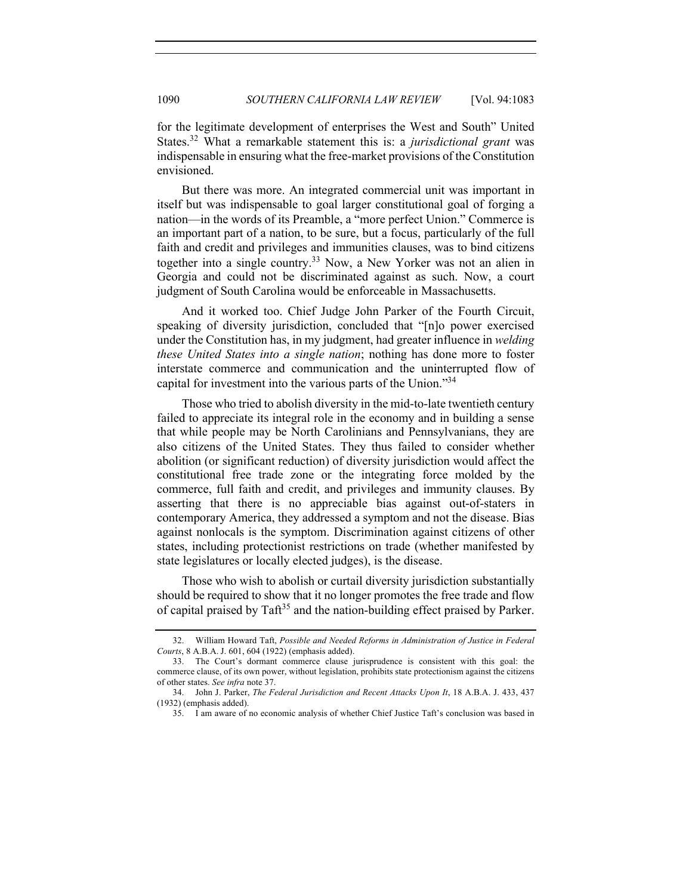for the legitimate development of enterprises the West and South" United States.32 What a remarkable statement this is: a *jurisdictional grant* was indispensable in ensuring what the free-market provisions of the Constitution envisioned.

But there was more. An integrated commercial unit was important in itself but was indispensable to goal larger constitutional goal of forging a nation—in the words of its Preamble, a "more perfect Union." Commerce is an important part of a nation, to be sure, but a focus, particularly of the full faith and credit and privileges and immunities clauses, was to bind citizens together into a single country.<sup>33</sup> Now, a New Yorker was not an alien in Georgia and could not be discriminated against as such. Now, a court judgment of South Carolina would be enforceable in Massachusetts.

And it worked too. Chief Judge John Parker of the Fourth Circuit, speaking of diversity jurisdiction, concluded that "[n]o power exercised under the Constitution has, in my judgment, had greater influence in *welding these United States into a single nation*; nothing has done more to foster interstate commerce and communication and the uninterrupted flow of capital for investment into the various parts of the Union."<sup>34</sup>

Those who tried to abolish diversity in the mid-to-late twentieth century failed to appreciate its integral role in the economy and in building a sense that while people may be North Carolinians and Pennsylvanians, they are also citizens of the United States. They thus failed to consider whether abolition (or significant reduction) of diversity jurisdiction would affect the constitutional free trade zone or the integrating force molded by the commerce, full faith and credit, and privileges and immunity clauses. By asserting that there is no appreciable bias against out-of-staters in contemporary America, they addressed a symptom and not the disease. Bias against nonlocals is the symptom. Discrimination against citizens of other states, including protectionist restrictions on trade (whether manifested by state legislatures or locally elected judges), is the disease.

Those who wish to abolish or curtail diversity jurisdiction substantially should be required to show that it no longer promotes the free trade and flow of capital praised by  $T\text{af}^{35}$  and the nation-building effect praised by Parker.

<sup>32.</sup> William Howard Taft, *Possible and Needed Reforms in Administration of Justice in Federal Courts*, 8 A.B.A. J. 601, 604 (1922) (emphasis added).

<sup>33.</sup> The Court's dormant commerce clause jurisprudence is consistent with this goal: the commerce clause, of its own power, without legislation, prohibits state protectionism against the citizens of other states. *See infra* note 37.

<sup>34.</sup> John J. Parker, *The Federal Jurisdiction and Recent Attacks Upon It*, 18 A.B.A. J. 433, 437 (1932) (emphasis added).

<sup>35.</sup> I am aware of no economic analysis of whether Chief Justice Taft's conclusion was based in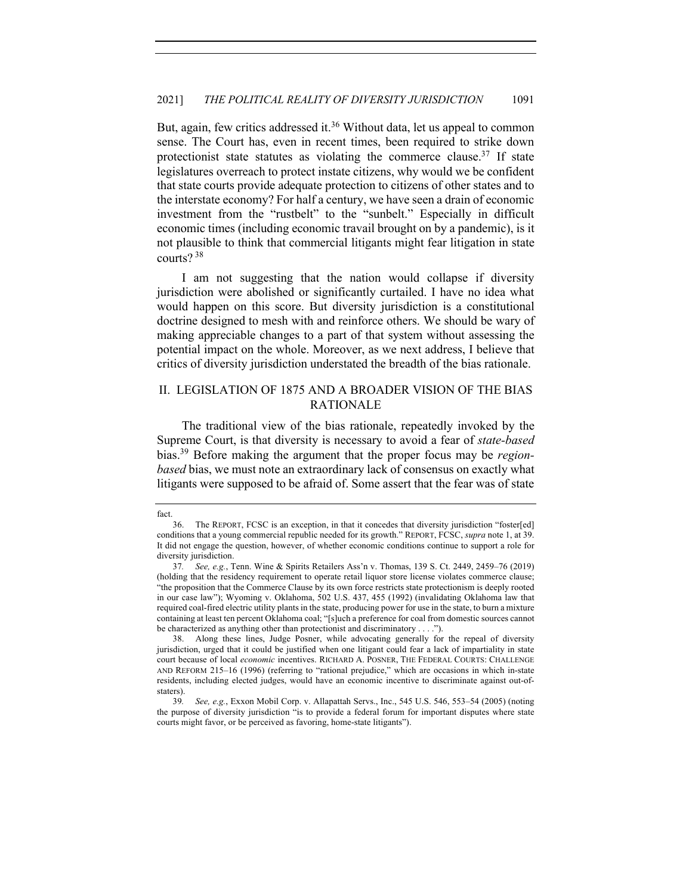But, again, few critics addressed it.<sup>36</sup> Without data, let us appeal to common sense. The Court has, even in recent times, been required to strike down protectionist state statutes as violating the commerce clause.<sup>37</sup> If state legislatures overreach to protect instate citizens, why would we be confident that state courts provide adequate protection to citizens of other states and to the interstate economy? For half a century, we have seen a drain of economic investment from the "rustbelt" to the "sunbelt." Especially in difficult economic times (including economic travail brought on by a pandemic), is it not plausible to think that commercial litigants might fear litigation in state courts? 38

I am not suggesting that the nation would collapse if diversity jurisdiction were abolished or significantly curtailed. I have no idea what would happen on this score. But diversity jurisdiction is a constitutional doctrine designed to mesh with and reinforce others. We should be wary of making appreciable changes to a part of that system without assessing the potential impact on the whole. Moreover, as we next address, I believe that critics of diversity jurisdiction understated the breadth of the bias rationale.

## II. LEGISLATION OF 1875 AND A BROADER VISION OF THE BIAS RATIONALE

The traditional view of the bias rationale, repeatedly invoked by the Supreme Court, is that diversity is necessary to avoid a fear of *state-based*  bias.39 Before making the argument that the proper focus may be *regionbased* bias, we must note an extraordinary lack of consensus on exactly what litigants were supposed to be afraid of. Some assert that the fear was of state

fact.

<sup>36.</sup> The REPORT, FCSC is an exception, in that it concedes that diversity jurisdiction "foster[ed] conditions that a young commercial republic needed for its growth." REPORT, FCSC, *supra* note 1, at 39. It did not engage the question, however, of whether economic conditions continue to support a role for diversity jurisdiction.

<sup>37</sup>*. See, e.g.*, Tenn. Wine & Spirits Retailers Ass'n v. Thomas, 139 S. Ct. 2449, 2459–76 (2019) (holding that the residency requirement to operate retail liquor store license violates commerce clause; "the proposition that the Commerce Clause by its own force restricts state protectionism is deeply rooted in our case law"); Wyoming v. Oklahoma, 502 U.S. 437, 455 (1992) (invalidating Oklahoma law that required coal-fired electric utility plants in the state, producing power for use in the state, to burn a mixture containing at least ten percent Oklahoma coal; "[s]uch a preference for coal from domestic sources cannot be characterized as anything other than protectionist and discriminatory . . . .").

<sup>38.</sup> Along these lines, Judge Posner, while advocating generally for the repeal of diversity jurisdiction, urged that it could be justified when one litigant could fear a lack of impartiality in state court because of local *economic* incentives. RICHARD A. POSNER, THE FEDERAL COURTS: CHALLENGE AND REFORM 215–16 (1996) (referring to "rational prejudice," which are occasions in which in-state residents, including elected judges, would have an economic incentive to discriminate against out-ofstaters).

<sup>39</sup>*. See, e.g.*, Exxon Mobil Corp. v. Allapattah Servs., Inc., 545 U.S. 546, 553–54 (2005) (noting the purpose of diversity jurisdiction "is to provide a federal forum for important disputes where state courts might favor, or be perceived as favoring, home-state litigants").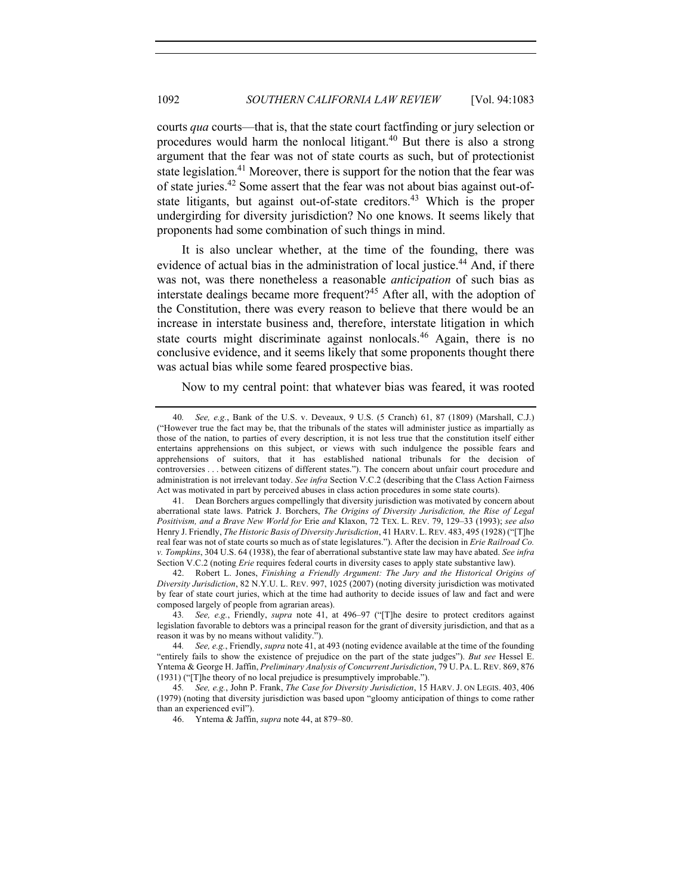courts *qua* courts—that is, that the state court factfinding or jury selection or procedures would harm the nonlocal litigant.<sup>40</sup> But there is also a strong argument that the fear was not of state courts as such, but of protectionist state legislation.<sup>41</sup> Moreover, there is support for the notion that the fear was of state juries.<sup>42</sup> Some assert that the fear was not about bias against out-ofstate litigants, but against out-of-state creditors.<sup>43</sup> Which is the proper undergirding for diversity jurisdiction? No one knows. It seems likely that proponents had some combination of such things in mind.

It is also unclear whether, at the time of the founding, there was evidence of actual bias in the administration of local justice.<sup>44</sup> And, if there was not, was there nonetheless a reasonable *anticipation* of such bias as interstate dealings became more frequent?<sup>45</sup> After all, with the adoption of the Constitution, there was every reason to believe that there would be an increase in interstate business and, therefore, interstate litigation in which state courts might discriminate against nonlocals.<sup>46</sup> Again, there is no conclusive evidence, and it seems likely that some proponents thought there was actual bias while some feared prospective bias.

Now to my central point: that whatever bias was feared, it was rooted

46. Yntema & Jaffin, *supra* note 44, at 879–80.

<sup>40</sup>*. See, e.g.*, Bank of the U.S. v. Deveaux, 9 U.S. (5 Cranch) 61, 87 (1809) (Marshall, C.J.) ("However true the fact may be, that the tribunals of the states will administer justice as impartially as those of the nation, to parties of every description, it is not less true that the constitution itself either entertains apprehensions on this subject, or views with such indulgence the possible fears and apprehensions of suitors, that it has established national tribunals for the decision of controversies . . . between citizens of different states."). The concern about unfair court procedure and administration is not irrelevant today. *See infra* Section V.C.2 (describing that the Class Action Fairness Act was motivated in part by perceived abuses in class action procedures in some state courts).

<sup>41.</sup> Dean Borchers argues compellingly that diversity jurisdiction was motivated by concern about aberrational state laws. Patrick J. Borchers, *The Origins of Diversity Jurisdiction, the Rise of Legal Positivism, and a Brave New World for* Erie *and* Klaxon, 72 TEX. L. REV. 79, 129–33 (1993); *see also*  Henry J. Friendly, *The Historic Basis of Diversity Jurisdiction*, 41 HARV. L.REV. 483, 495 (1928) ("[T]he real fear was not of state courts so much as of state legislatures."). After the decision in *Erie Railroad Co. v. Tompkins*, 304 U.S. 64 (1938), the fear of aberrational substantive state law may have abated. *See infra* Section V.C.2 (noting *Erie* requires federal courts in diversity cases to apply state substantive law).

<sup>42.</sup> Robert L. Jones, *Finishing a Friendly Argument: The Jury and the Historical Origins of Diversity Jurisdiction*, 82 N.Y.U. L. REV. 997, 1025 (2007) (noting diversity jurisdiction was motivated by fear of state court juries, which at the time had authority to decide issues of law and fact and were composed largely of people from agrarian areas).

<sup>43</sup>*. See, e.g.*, Friendly, *supra* note 41, at 496–97 ("[T]he desire to protect creditors against legislation favorable to debtors was a principal reason for the grant of diversity jurisdiction, and that as a reason it was by no means without validity.").

<sup>44</sup>*. See, e.g.*, Friendly, *supra* note 41, at 493 (noting evidence available at the time of the founding "entirely fails to show the existence of prejudice on the part of the state judges"). *But see* Hessel E. Yntema & George H. Jaffin, *Preliminary Analysis of Concurrent Jurisdiction*, 79 U. PA. L. REV. 869, 876 (1931) ("[T]he theory of no local prejudice is presumptively improbable.").

<sup>45</sup>*. See, e.g.*, John P. Frank, *The Case for Diversity Jurisdiction*, 15 HARV. J. ON LEGIS. 403, 406 (1979) (noting that diversity jurisdiction was based upon "gloomy anticipation of things to come rather than an experienced evil").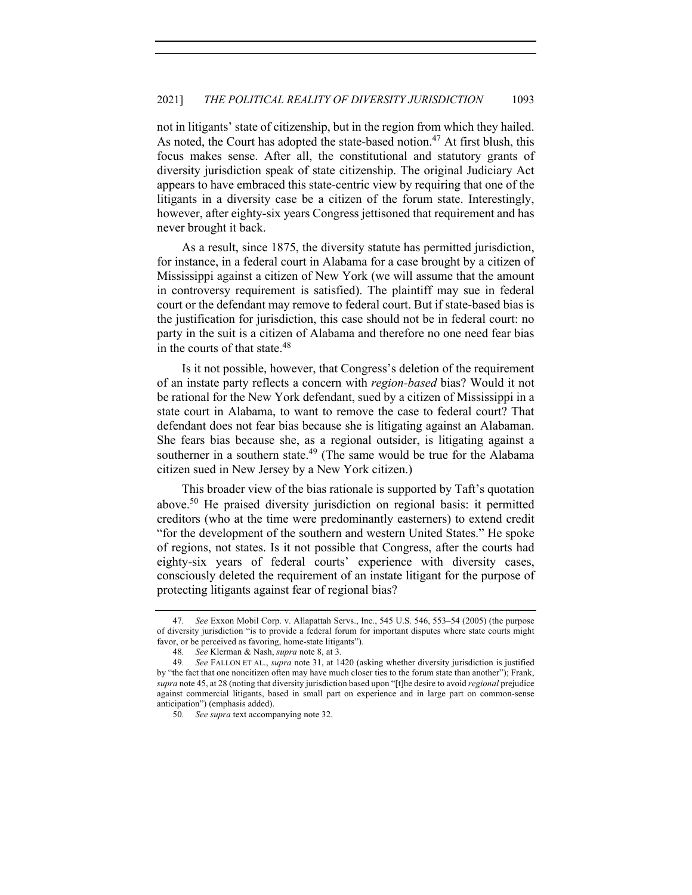not in litigants' state of citizenship, but in the region from which they hailed. As noted, the Court has adopted the state-based notion.<sup>47</sup> At first blush, this focus makes sense. After all, the constitutional and statutory grants of diversity jurisdiction speak of state citizenship. The original Judiciary Act appears to have embraced this state-centric view by requiring that one of the litigants in a diversity case be a citizen of the forum state. Interestingly, however, after eighty-six years Congress jettisoned that requirement and has never brought it back.

As a result, since 1875, the diversity statute has permitted jurisdiction, for instance, in a federal court in Alabama for a case brought by a citizen of Mississippi against a citizen of New York (we will assume that the amount in controversy requirement is satisfied). The plaintiff may sue in federal court or the defendant may remove to federal court. But if state-based bias is the justification for jurisdiction, this case should not be in federal court: no party in the suit is a citizen of Alabama and therefore no one need fear bias in the courts of that state.<sup>48</sup>

Is it not possible, however, that Congress's deletion of the requirement of an instate party reflects a concern with *region-based* bias? Would it not be rational for the New York defendant, sued by a citizen of Mississippi in a state court in Alabama, to want to remove the case to federal court? That defendant does not fear bias because she is litigating against an Alabaman. She fears bias because she, as a regional outsider, is litigating against a southerner in a southern state.<sup>49</sup> (The same would be true for the Alabama citizen sued in New Jersey by a New York citizen.)

This broader view of the bias rationale is supported by Taft's quotation above.<sup>50</sup> He praised diversity jurisdiction on regional basis: it permitted creditors (who at the time were predominantly easterners) to extend credit "for the development of the southern and western United States." He spoke of regions, not states. Is it not possible that Congress, after the courts had eighty-six years of federal courts' experience with diversity cases, consciously deleted the requirement of an instate litigant for the purpose of protecting litigants against fear of regional bias?

<sup>47</sup>*. See* Exxon Mobil Corp. v. Allapattah Servs., Inc., 545 U.S. 546, 553–54 (2005) (the purpose of diversity jurisdiction "is to provide a federal forum for important disputes where state courts might favor, or be perceived as favoring, home-state litigants").

<sup>48</sup>*. See* Klerman & Nash, *supra* note 8, at 3.

<sup>49</sup>*. See* FALLON ET AL., *supra* note 31, at 1420 (asking whether diversity jurisdiction is justified by "the fact that one noncitizen often may have much closer ties to the forum state than another"); Frank, *supra* note 45, at 28 (noting that diversity jurisdiction based upon "[t]he desire to avoid *regional* prejudice against commercial litigants, based in small part on experience and in large part on common-sense anticipation") (emphasis added).

<sup>50</sup>*. See supra* text accompanying note 32.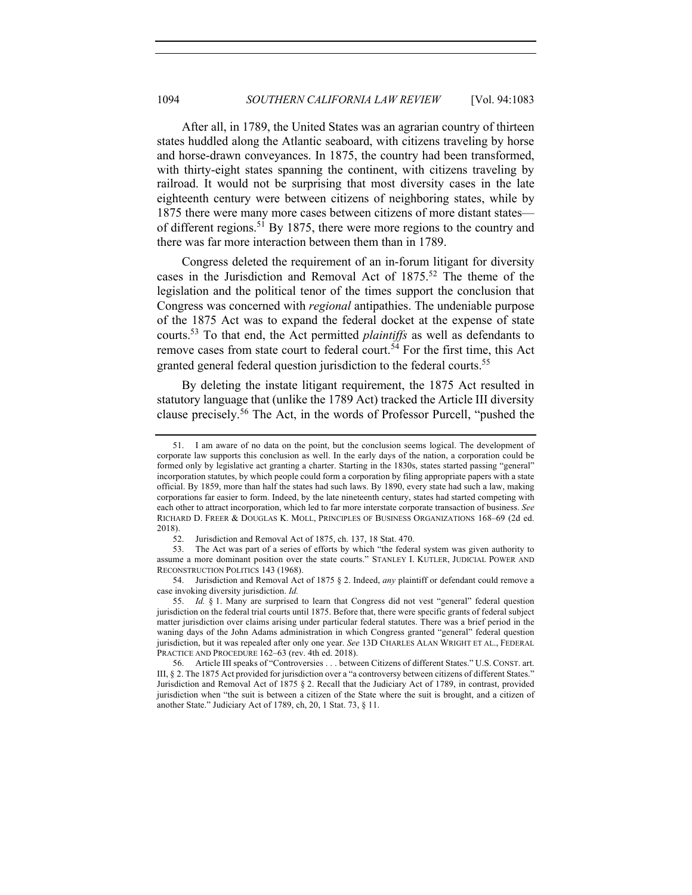After all, in 1789, the United States was an agrarian country of thirteen states huddled along the Atlantic seaboard, with citizens traveling by horse and horse-drawn conveyances. In 1875, the country had been transformed, with thirty-eight states spanning the continent, with citizens traveling by railroad. It would not be surprising that most diversity cases in the late eighteenth century were between citizens of neighboring states, while by 1875 there were many more cases between citizens of more distant states of different regions.<sup>51</sup> By 1875, there were more regions to the country and there was far more interaction between them than in 1789.

Congress deleted the requirement of an in-forum litigant for diversity cases in the Jurisdiction and Removal Act of  $1875$ <sup>52</sup> The theme of the legislation and the political tenor of the times support the conclusion that Congress was concerned with *regional* antipathies. The undeniable purpose of the 1875 Act was to expand the federal docket at the expense of state courts.53 To that end, the Act permitted *plaintiffs* as well as defendants to remove cases from state court to federal court.<sup>54</sup> For the first time, this Act granted general federal question jurisdiction to the federal courts.<sup>55</sup>

By deleting the instate litigant requirement, the 1875 Act resulted in statutory language that (unlike the 1789 Act) tracked the Article III diversity clause precisely.<sup>56</sup> The Act, in the words of Professor Purcell, "pushed the

<sup>51.</sup> I am aware of no data on the point, but the conclusion seems logical. The development of corporate law supports this conclusion as well. In the early days of the nation, a corporation could be formed only by legislative act granting a charter. Starting in the 1830s, states started passing "general" incorporation statutes, by which people could form a corporation by filing appropriate papers with a state official. By 1859, more than half the states had such laws. By 1890, every state had such a law, making corporations far easier to form. Indeed, by the late nineteenth century, states had started competing with each other to attract incorporation, which led to far more interstate corporate transaction of business. *See*  RICHARD D. FREER & DOUGLAS K. MOLL, PRINCIPLES OF BUSINESS ORGANIZATIONS 168–69 (2d ed. 2018).

<sup>52.</sup> Jurisdiction and Removal Act of 1875, ch. 137, 18 Stat. 470.

<sup>53.</sup> The Act was part of a series of efforts by which "the federal system was given authority to assume a more dominant position over the state courts." STANLEY I. KUTLER, JUDICIAL POWER AND RECONSTRUCTION POLITICS 143 (1968).

<sup>54.</sup> Jurisdiction and Removal Act of 1875 § 2. Indeed, *any* plaintiff or defendant could remove a case invoking diversity jurisdiction. *Id.* 

<sup>55.</sup> *Id.* § 1. Many are surprised to learn that Congress did not vest "general" federal question jurisdiction on the federal trial courts until 1875. Before that, there were specific grants of federal subject matter jurisdiction over claims arising under particular federal statutes. There was a brief period in the waning days of the John Adams administration in which Congress granted "general" federal question jurisdiction, but it was repealed after only one year. *See* 13D CHARLES ALAN WRIGHT ET AL., FEDERAL PRACTICE AND PROCEDURE 162–63 (rev. 4th ed. 2018).

<sup>56.</sup> Article III speaks of "Controversies . . . between Citizens of different States." U.S. CONST. art. III, § 2. The 1875 Act provided for jurisdiction over a "a controversy between citizens of different States." Jurisdiction and Removal Act of 1875 § 2. Recall that the Judiciary Act of 1789, in contrast, provided jurisdiction when "the suit is between a citizen of the State where the suit is brought, and a citizen of another State." Judiciary Act of 1789, ch, 20, 1 Stat. 73, § 11.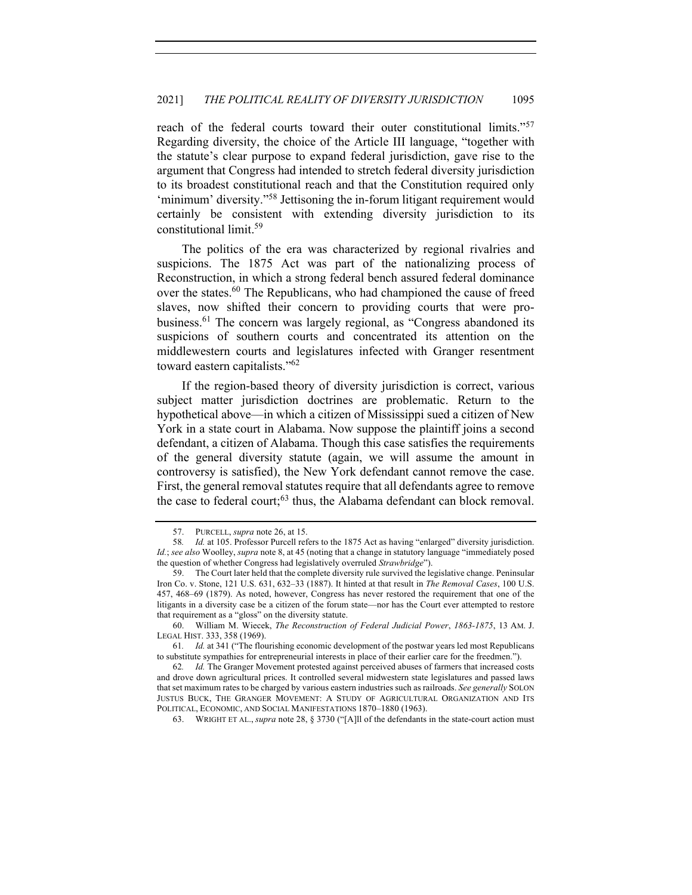reach of the federal courts toward their outer constitutional limits."<sup>57</sup> Regarding diversity, the choice of the Article III language, "together with the statute's clear purpose to expand federal jurisdiction, gave rise to the argument that Congress had intended to stretch federal diversity jurisdiction to its broadest constitutional reach and that the Constitution required only 'minimum' diversity."<sup>58</sup> Jettisoning the in-forum litigant requirement would certainly be consistent with extending diversity jurisdiction to its constitutional limit.59

The politics of the era was characterized by regional rivalries and suspicions. The 1875 Act was part of the nationalizing process of Reconstruction, in which a strong federal bench assured federal dominance over the states.<sup>60</sup> The Republicans, who had championed the cause of freed slaves, now shifted their concern to providing courts that were probusiness.<sup>61</sup> The concern was largely regional, as "Congress abandoned its suspicions of southern courts and concentrated its attention on the middlewestern courts and legislatures infected with Granger resentment toward eastern capitalists."<sup>62</sup>

If the region-based theory of diversity jurisdiction is correct, various subject matter jurisdiction doctrines are problematic. Return to the hypothetical above—in which a citizen of Mississippi sued a citizen of New York in a state court in Alabama. Now suppose the plaintiff joins a second defendant, a citizen of Alabama. Though this case satisfies the requirements of the general diversity statute (again, we will assume the amount in controversy is satisfied), the New York defendant cannot remove the case. First, the general removal statutes require that all defendants agree to remove the case to federal court; $^{63}$  thus, the Alabama defendant can block removal.

63. WRIGHT ET AL., *supra* note 28, § 3730 ("[A]ll of the defendants in the state-court action must

<sup>57.</sup> PURCELL, *supra* note 26, at 15.

<sup>58</sup>*. Id.* at 105. Professor Purcell refers to the 1875 Act as having "enlarged" diversity jurisdiction. *Id.*; *see also* Woolley, *supra* note 8, at 45 (noting that a change in statutory language "immediately posed the question of whether Congress had legislatively overruled *Strawbridge*").

<sup>59.</sup> The Court later held that the complete diversity rule survived the legislative change. Peninsular Iron Co. v. Stone, 121 U.S. 631, 632–33 (1887). It hinted at that result in *The Removal Cases*, 100 U.S. 457, 468–69 (1879). As noted, however, Congress has never restored the requirement that one of the litigants in a diversity case be a citizen of the forum state—nor has the Court ever attempted to restore that requirement as a "gloss" on the diversity statute.

<sup>60.</sup> William M. Wiecek, *The Reconstruction of Federal Judicial Power*, *1863-1875*, 13 AM. J. LEGAL HIST. 333, 358 (1969).

<sup>61</sup>*. Id.* at 341 ("The flourishing economic development of the postwar years led most Republicans to substitute sympathies for entrepreneurial interests in place of their earlier care for the freedmen.").

<sup>62</sup>*. Id.* The Granger Movement protested against perceived abuses of farmers that increased costs and drove down agricultural prices. It controlled several midwestern state legislatures and passed laws that set maximum rates to be charged by various eastern industries such as railroads. *See generally* SOLON JUSTUS BUCK, THE GRANGER MOVEMENT: A STUDY OF AGRICULTURAL ORGANIZATION AND ITS POLITICAL, ECONOMIC, AND SOCIAL MANIFESTATIONS 1870–1880 (1963).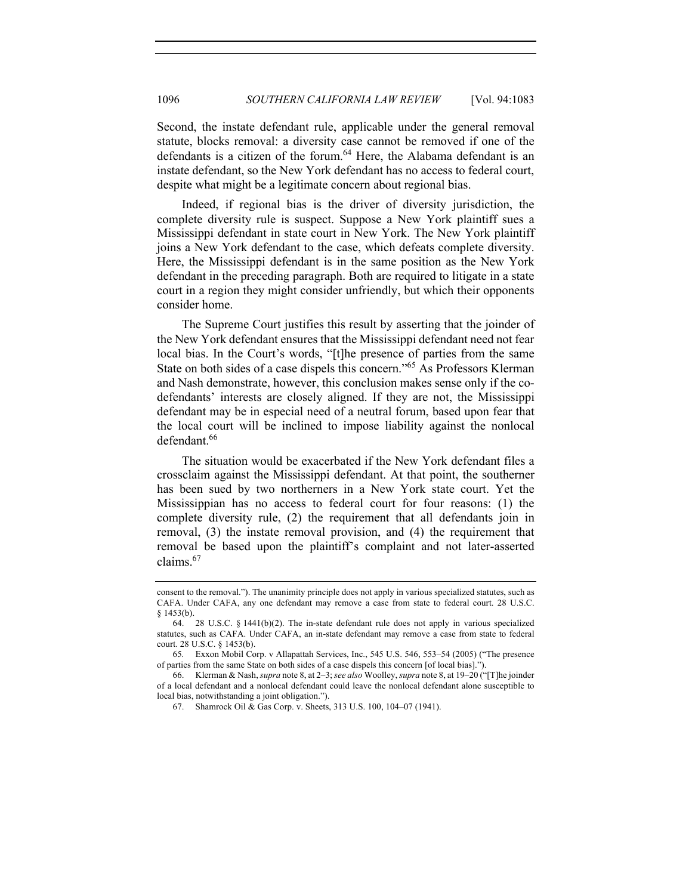Second, the instate defendant rule, applicable under the general removal statute, blocks removal: a diversity case cannot be removed if one of the defendants is a citizen of the forum.<sup>64</sup> Here, the Alabama defendant is an instate defendant, so the New York defendant has no access to federal court, despite what might be a legitimate concern about regional bias.

Indeed, if regional bias is the driver of diversity jurisdiction, the complete diversity rule is suspect. Suppose a New York plaintiff sues a Mississippi defendant in state court in New York. The New York plaintiff joins a New York defendant to the case, which defeats complete diversity. Here, the Mississippi defendant is in the same position as the New York defendant in the preceding paragraph. Both are required to litigate in a state court in a region they might consider unfriendly, but which their opponents consider home.

The Supreme Court justifies this result by asserting that the joinder of the New York defendant ensures that the Mississippi defendant need not fear local bias. In the Court's words, "[t]he presence of parties from the same State on both sides of a case dispels this concern."<sup>65</sup> As Professors Klerman and Nash demonstrate, however, this conclusion makes sense only if the codefendants' interests are closely aligned. If they are not, the Mississippi defendant may be in especial need of a neutral forum, based upon fear that the local court will be inclined to impose liability against the nonlocal defendant.<sup>66</sup>

The situation would be exacerbated if the New York defendant files a crossclaim against the Mississippi defendant. At that point, the southerner has been sued by two northerners in a New York state court. Yet the Mississippian has no access to federal court for four reasons: (1) the complete diversity rule, (2) the requirement that all defendants join in removal, (3) the instate removal provision, and (4) the requirement that removal be based upon the plaintiff's complaint and not later-asserted claims.67

consent to the removal."). The unanimity principle does not apply in various specialized statutes, such as CAFA. Under CAFA, any one defendant may remove a case from state to federal court. 28 U.S.C. § 1453(b).

<sup>64. 28</sup> U.S.C.  $\S$  1441(b)(2). The in-state defendant rule does not apply in various specialized statutes, such as CAFA. Under CAFA, an in-state defendant may remove a case from state to federal court. 28 U.S.C. § 1453(b).

<sup>65</sup>*.* Exxon Mobil Corp. v Allapattah Services, Inc., 545 U.S. 546, 553–54 (2005) ("The presence of parties from the same State on both sides of a case dispels this concern [of local bias].").

<sup>66.</sup> Klerman & Nash, *supra* note 8, at 2–3; *see also* Woolley, *supra* note 8, at 19–20 ("[T]he joinder of a local defendant and a nonlocal defendant could leave the nonlocal defendant alone susceptible to local bias, notwithstanding a joint obligation.").

<sup>67.</sup> Shamrock Oil & Gas Corp. v. Sheets, 313 U.S. 100, 104–07 (1941).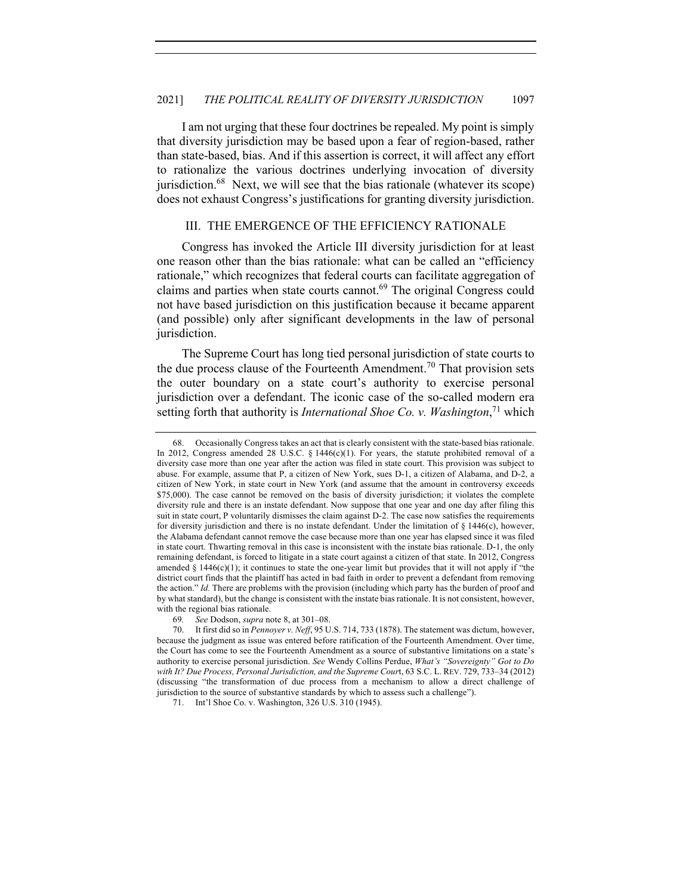I am not urging that these four doctrines be repealed. My point is simply that diversity jurisdiction may be based upon a fear of region-based, rather than state-based, bias. And if this assertion is correct, it will affect any effort to rationalize the various doctrines underlying invocation of diversity jurisdiction.<sup>68</sup> Next, we will see that the bias rationale (whatever its scope) does not exhaust Congress's justifications for granting diversity jurisdiction.

# III. THE EMERGENCE OF THE EFFICIENCY RATIONALE

Congress has invoked the Article III diversity jurisdiction for at least one reason other than the bias rationale: what can be called an "efficiency rationale," which recognizes that federal courts can facilitate aggregation of claims and parties when state courts cannot.<sup>69</sup> The original Congress could not have based jurisdiction on this justification because it became apparent (and possible) only after significant developments in the law of personal jurisdiction.

The Supreme Court has long tied personal jurisdiction of state courts to the due process clause of the Fourteenth Amendment.<sup>70</sup> That provision sets the outer boundary on a state court's authority to exercise personal jurisdiction over a defendant. The iconic case of the so-called modern era setting forth that authority is *International Shoe Co. v. Washington*, <sup>71</sup> which

<sup>68.</sup> Occasionally Congress takes an act that is clearly consistent with the state-based bias rationale. In 2012, Congress amended 28 U.S.C. § 1446(c)(1). For years, the statute prohibited removal of a diversity case more than one year after the action was filed in state court. This provision was subject to abuse. For example, assume that P, a citizen of New York, sues D-1, a citizen of Alabama, and D-2, a citizen of New York, in state court in New York (and assume that the amount in controversy exceeds \$75,000). The case cannot be removed on the basis of diversity jurisdiction; it violates the complete diversity rule and there is an instate defendant. Now suppose that one year and one day after filing this suit in state court, P voluntarily dismisses the claim against D-2. The case now satisfies the requirements for diversity jurisdiction and there is no instate defendant. Under the limitation of  $\S$  1446(c), however, the Alabama defendant cannot remove the case because more than one year has elapsed since it was filed in state court. Thwarting removal in this case is inconsistent with the instate bias rationale. D-1, the only remaining defendant, is forced to litigate in a state court against a citizen of that state. In 2012, Congress amended  $\S 1446(c)(1)$ ; it continues to state the one-year limit but provides that it will not apply if "the district court finds that the plaintiff has acted in bad faith in order to prevent a defendant from removing the action." *Id.* There are problems with the provision (including which party has the burden of proof and by what standard), but the change is consistent with the instate bias rationale. It is not consistent, however, with the regional bias rationale.

<sup>69</sup>*. See* Dodson, *supra* note 8, at 301–08.

<sup>70.</sup> It first did so in *Pennoyer v. Neff*, 95 U.S. 714, 733 (1878). The statement was dictum, however, because the judgment as issue was entered before ratification of the Fourteenth Amendment. Over time, the Court has come to see the Fourteenth Amendment as a source of substantive limitations on a state's authority to exercise personal jurisdiction. *See* Wendy Collins Perdue, *What's "Sovereignty" Got to Do with It? Due Process, Personal Jurisdiction, and the Supreme Cour*t, 63 S.C. L. REV. 729, 733–34 (2012) (discussing "the transformation of due process from a mechanism to allow a direct challenge of jurisdiction to the source of substantive standards by which to assess such a challenge").

<sup>71.</sup> Int'l Shoe Co. v. Washington, 326 U.S. 310 (1945).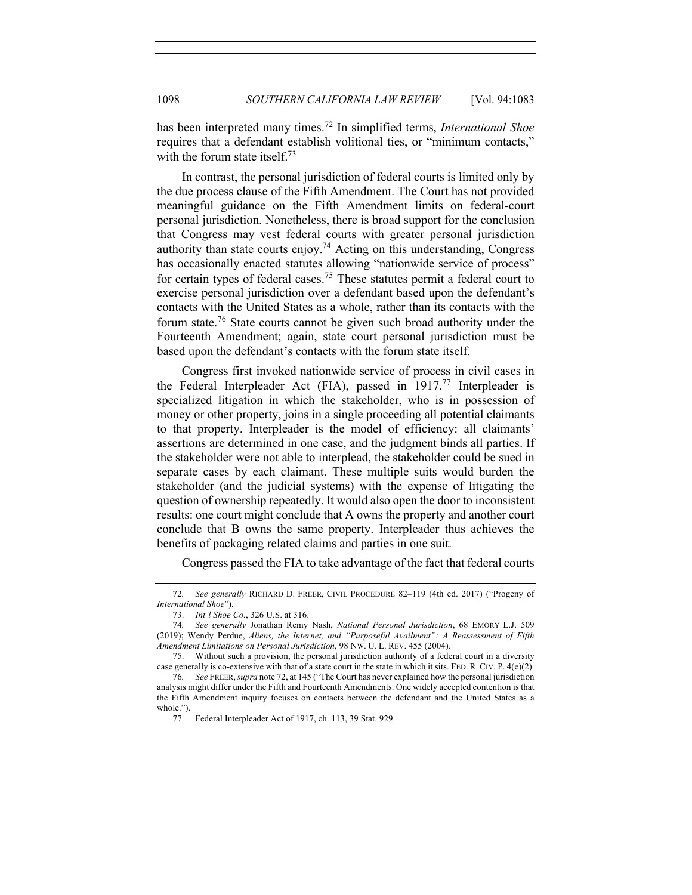has been interpreted many times.<sup>72</sup> In simplified terms, *International Shoe*  requires that a defendant establish volitional ties, or "minimum contacts," with the forum state itself.<sup>73</sup>

In contrast, the personal jurisdiction of federal courts is limited only by the due process clause of the Fifth Amendment. The Court has not provided meaningful guidance on the Fifth Amendment limits on federal-court personal jurisdiction. Nonetheless, there is broad support for the conclusion that Congress may vest federal courts with greater personal jurisdiction authority than state courts enjoy.<sup>74</sup> Acting on this understanding, Congress has occasionally enacted statutes allowing "nationwide service of process" for certain types of federal cases.<sup>75</sup> These statutes permit a federal court to exercise personal jurisdiction over a defendant based upon the defendant's contacts with the United States as a whole, rather than its contacts with the forum state.<sup>76</sup> State courts cannot be given such broad authority under the Fourteenth Amendment; again, state court personal jurisdiction must be based upon the defendant's contacts with the forum state itself.

Congress first invoked nationwide service of process in civil cases in the Federal Interpleader Act (FIA), passed in  $1917<sup>77</sup>$  Interpleader is specialized litigation in which the stakeholder, who is in possession of money or other property, joins in a single proceeding all potential claimants to that property. Interpleader is the model of efficiency: all claimants' assertions are determined in one case, and the judgment binds all parties. If the stakeholder were not able to interplead, the stakeholder could be sued in separate cases by each claimant. These multiple suits would burden the stakeholder (and the judicial systems) with the expense of litigating the question of ownership repeatedly. It would also open the door to inconsistent results: one court might conclude that A owns the property and another court conclude that B owns the same property. Interpleader thus achieves the benefits of packaging related claims and parties in one suit.

Congress passed the FIA to take advantage of the fact that federal courts

<sup>72</sup>*. See generally* RICHARD D. FREER, CIVIL PROCEDURE 82–119 (4th ed. 2017) ("Progeny of *International Shoe*").

<sup>73.</sup> *Int'l Shoe Co.*, 326 U.S. at 316.

<sup>74</sup>*. See generally* Jonathan Remy Nash, *National Personal Jurisdiction*, 68 EMORY L.J. 509 (2019); Wendy Perdue, *Aliens, the Internet, and "Purposeful Availment": A Reassessment of Fifth Amendment Limitations on Personal Jurisdiction*, 98 NW. U. L. REV. 455 (2004).

<sup>75.</sup> Without such a provision, the personal jurisdiction authority of a federal court in a diversity case generally is co-extensive with that of a state court in the state in which it sits. FED. R. CIV. P. 4(e)(2).

<sup>76</sup>*. See* FREER,*supra* note 72, at 145 ("The Court has never explained how the personal jurisdiction analysis might differ under the Fifth and Fourteenth Amendments. One widely accepted contention is that the Fifth Amendment inquiry focuses on contacts between the defendant and the United States as a whole.").

<sup>77.</sup> Federal Interpleader Act of 1917, ch. 113, 39 Stat. 929.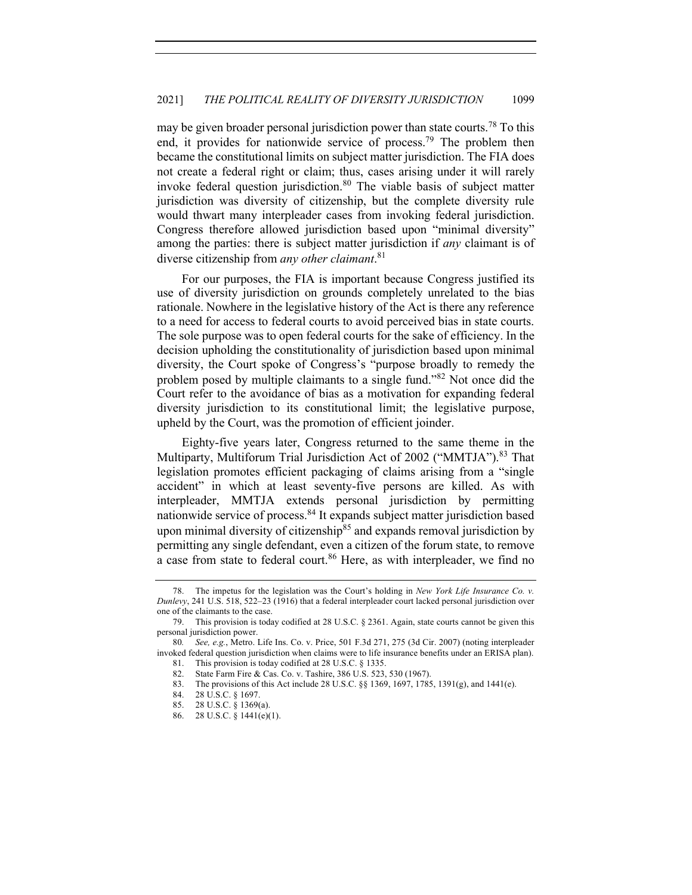may be given broader personal jurisdiction power than state courts.<sup>78</sup> To this end, it provides for nationwide service of process.<sup>79</sup> The problem then became the constitutional limits on subject matter jurisdiction. The FIA does not create a federal right or claim; thus, cases arising under it will rarely invoke federal question jurisdiction.<sup>80</sup> The viable basis of subject matter jurisdiction was diversity of citizenship, but the complete diversity rule would thwart many interpleader cases from invoking federal jurisdiction. Congress therefore allowed jurisdiction based upon "minimal diversity" among the parties: there is subject matter jurisdiction if *any* claimant is of diverse citizenship from *any other claimant*. 81

For our purposes, the FIA is important because Congress justified its use of diversity jurisdiction on grounds completely unrelated to the bias rationale. Nowhere in the legislative history of the Act is there any reference to a need for access to federal courts to avoid perceived bias in state courts. The sole purpose was to open federal courts for the sake of efficiency. In the decision upholding the constitutionality of jurisdiction based upon minimal diversity, the Court spoke of Congress's "purpose broadly to remedy the problem posed by multiple claimants to a single fund."<sup>82</sup> Not once did the Court refer to the avoidance of bias as a motivation for expanding federal diversity jurisdiction to its constitutional limit; the legislative purpose, upheld by the Court, was the promotion of efficient joinder.

Eighty-five years later, Congress returned to the same theme in the Multiparty, Multiforum Trial Jurisdiction Act of 2002 ("MMTJA").<sup>83</sup> That legislation promotes efficient packaging of claims arising from a "single accident" in which at least seventy-five persons are killed. As with interpleader, MMTJA extends personal jurisdiction by permitting nationwide service of process.<sup>84</sup> It expands subject matter jurisdiction based upon minimal diversity of citizenship<sup>85</sup> and expands removal jurisdiction by permitting any single defendant, even a citizen of the forum state, to remove a case from state to federal court.<sup>86</sup> Here, as with interpleader, we find no

The impetus for the legislation was the Court's holding in *New York Life Insurance Co. v. Dunlevy*, 241 U.S. 518, 522–23 (1916) that a federal interpleader court lacked personal jurisdiction over one of the claimants to the case.

<sup>79.</sup> This provision is today codified at 28 U.S.C. § 2361. Again, state courts cannot be given this personal jurisdiction power.

<sup>80</sup>*. See, e.g.*, Metro. Life Ins. Co. v. Price, 501 F.3d 271, 275 (3d Cir. 2007) (noting interpleader invoked federal question jurisdiction when claims were to life insurance benefits under an ERISA plan).

<sup>81.</sup> This provision is today codified at 28 U.S.C. § 1335.<br>82. State Farm Fire & Cas. Co. v. Tashire. 386 U.S. 523 State Farm Fire & Cas. Co. v. Tashire, 386 U.S. 523, 530 (1967).

<sup>83.</sup> The provisions of this Act include 28 U.S.C. §§ 1369, 1697, 1785, 1391(g), and 1441(e).

<sup>84.</sup> 28 U.S.C. § 1697.

<sup>85.</sup> 28 U.S.C. § 1369(a).

<sup>86.</sup> 28 U.S.C. § 1441(e)(1).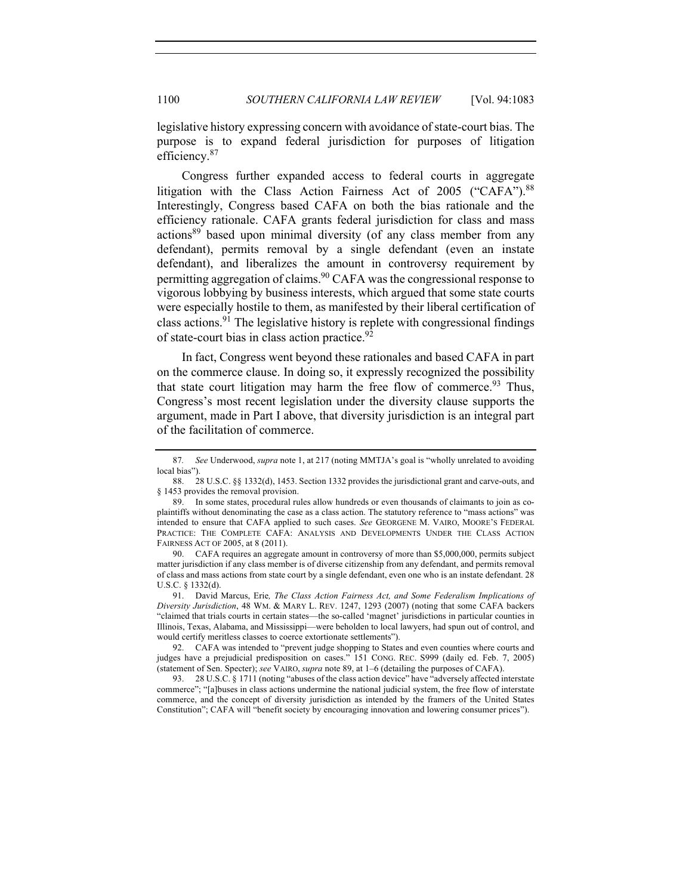legislative history expressing concern with avoidance of state-court bias. The purpose is to expand federal jurisdiction for purposes of litigation efficiency.<sup>87</sup>

Congress further expanded access to federal courts in aggregate litigation with the Class Action Fairness Act of 2005 ("CAFA").<sup>88</sup> Interestingly, Congress based CAFA on both the bias rationale and the efficiency rationale. CAFA grants federal jurisdiction for class and mass actions<sup>89</sup> based upon minimal diversity (of any class member from any defendant), permits removal by a single defendant (even an instate defendant), and liberalizes the amount in controversy requirement by permitting aggregation of claims.<sup>90</sup> CAFA was the congressional response to vigorous lobbying by business interests, which argued that some state courts were especially hostile to them, as manifested by their liberal certification of class actions.<sup>91</sup> The legislative history is replete with congressional findings of state-court bias in class action practice. $92$ 

In fact, Congress went beyond these rationales and based CAFA in part on the commerce clause. In doing so, it expressly recognized the possibility that state court litigation may harm the free flow of commerce.  $93$  Thus, Congress's most recent legislation under the diversity clause supports the argument, made in Part I above, that diversity jurisdiction is an integral part of the facilitation of commerce.

90. CAFA requires an aggregate amount in controversy of more than \$5,000,000, permits subject matter jurisdiction if any class member is of diverse citizenship from any defendant, and permits removal of class and mass actions from state court by a single defendant, even one who is an instate defendant. 28 U.S.C. § 1332(d).

91. David Marcus, Erie*, The Class Action Fairness Act, and Some Federalism Implications of Diversity Jurisdiction*, 48 WM. & MARY L. REV. 1247, 1293 (2007) (noting that some CAFA backers "claimed that trials courts in certain states—the so-called 'magnet' jurisdictions in particular counties in Illinois, Texas, Alabama, and Mississippi—were beholden to local lawyers, had spun out of control, and would certify meritless classes to coerce extortionate settlements").

92. CAFA was intended to "prevent judge shopping to States and even counties where courts and judges have a prejudicial predisposition on cases." 151 CONG. REC. S999 (daily ed. Feb. 7, 2005) (statement of Sen. Specter); *see* VAIRO, *supra* note 89, at 1–6 (detailing the purposes of CAFA).

93. 28 U.S.C. § 1711 (noting "abuses of the class action device" have "adversely affected interstate commerce"; "[a]buses in class actions undermine the national judicial system, the free flow of interstate commerce, and the concept of diversity jurisdiction as intended by the framers of the United States Constitution"; CAFA will "benefit society by encouraging innovation and lowering consumer prices").

<sup>87</sup>*. See* Underwood, *supra* note 1, at 217 (noting MMTJA's goal is "wholly unrelated to avoiding local bias").

<sup>88.</sup> 28 U.S.C. §§ 1332(d), 1453. Section 1332 provides the jurisdictional grant and carve-outs, and § 1453 provides the removal provision.

<sup>89.</sup> In some states, procedural rules allow hundreds or even thousands of claimants to join as coplaintiffs without denominating the case as a class action. The statutory reference to "mass actions" was intended to ensure that CAFA applied to such cases. *See* GEORGENE M. VAIRO, MOORE'S FEDERAL PRACTICE: THE COMPLETE CAFA: ANALYSIS AND DEVELOPMENTS UNDER THE CLASS ACTION FAIRNESS ACT OF 2005, at 8 (2011).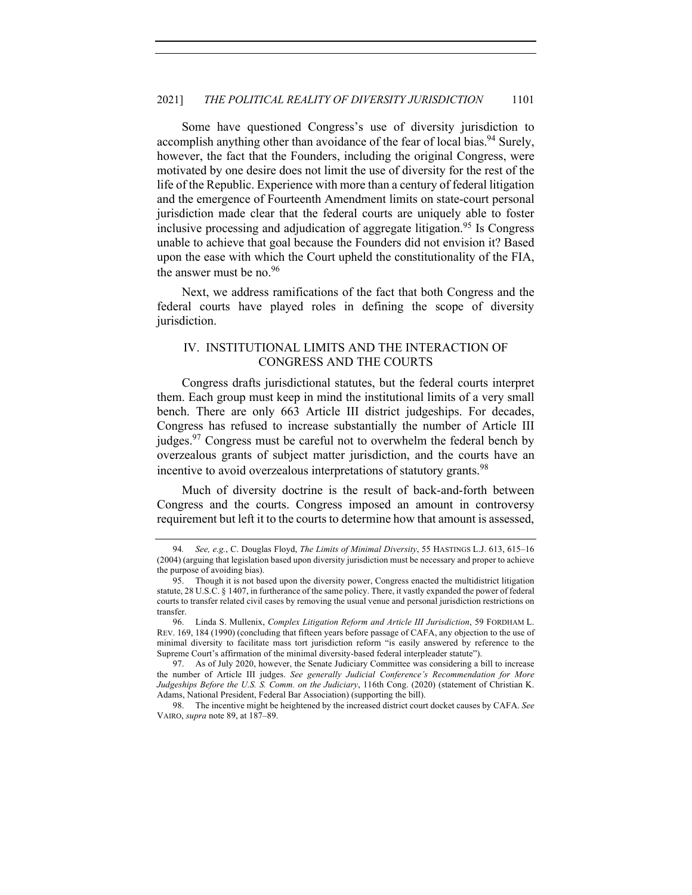Some have questioned Congress's use of diversity jurisdiction to accomplish anything other than avoidance of the fear of local bias.<sup>94</sup> Surely, however, the fact that the Founders, including the original Congress, were motivated by one desire does not limit the use of diversity for the rest of the life of the Republic. Experience with more than a century of federal litigation and the emergence of Fourteenth Amendment limits on state-court personal jurisdiction made clear that the federal courts are uniquely able to foster inclusive processing and adjudication of aggregate litigation.<sup>95</sup> Is Congress unable to achieve that goal because the Founders did not envision it? Based upon the ease with which the Court upheld the constitutionality of the FIA, the answer must be no. $96$ 

Next, we address ramifications of the fact that both Congress and the federal courts have played roles in defining the scope of diversity jurisdiction.

## IV. INSTITUTIONAL LIMITS AND THE INTERACTION OF CONGRESS AND THE COURTS

Congress drafts jurisdictional statutes, but the federal courts interpret them. Each group must keep in mind the institutional limits of a very small bench. There are only 663 Article III district judgeships. For decades, Congress has refused to increase substantially the number of Article III judges.<sup>97</sup> Congress must be careful not to overwhelm the federal bench by overzealous grants of subject matter jurisdiction, and the courts have an incentive to avoid overzealous interpretations of statutory grants.<sup>98</sup>

Much of diversity doctrine is the result of back-and-forth between Congress and the courts. Congress imposed an amount in controversy requirement but left it to the courts to determine how that amount is assessed,

<sup>94</sup>*. See, e.g.*, C. Douglas Floyd, *The Limits of Minimal Diversity*, 55 HASTINGS L.J. 613, 615–16 (2004) (arguing that legislation based upon diversity jurisdiction must be necessary and proper to achieve the purpose of avoiding bias).

<sup>95.</sup> Though it is not based upon the diversity power, Congress enacted the multidistrict litigation statute, 28 U.S.C. § 1407, in furtherance of the same policy. There, it vastly expanded the power of federal courts to transfer related civil cases by removing the usual venue and personal jurisdiction restrictions on transfer.

<sup>96.</sup> Linda S. Mullenix, *Complex Litigation Reform and Article III Jurisdiction*, 59 FORDHAM L. REV. 169, 184 (1990) (concluding that fifteen years before passage of CAFA, any objection to the use of minimal diversity to facilitate mass tort jurisdiction reform "is easily answered by reference to the Supreme Court's affirmation of the minimal diversity-based federal interpleader statute").

<sup>97.</sup> As of July 2020, however, the Senate Judiciary Committee was considering a bill to increase the number of Article III judges. *See generally Judicial Conference's Recommendation for More Judgeships Before the U.S. S. Comm. on the Judiciary*, 116th Cong. (2020) (statement of Christian K. Adams, National President, Federal Bar Association) (supporting the bill).

<sup>98.</sup> The incentive might be heightened by the increased district court docket causes by CAFA. *See*  VAIRO, *supra* note 89, at 187–89.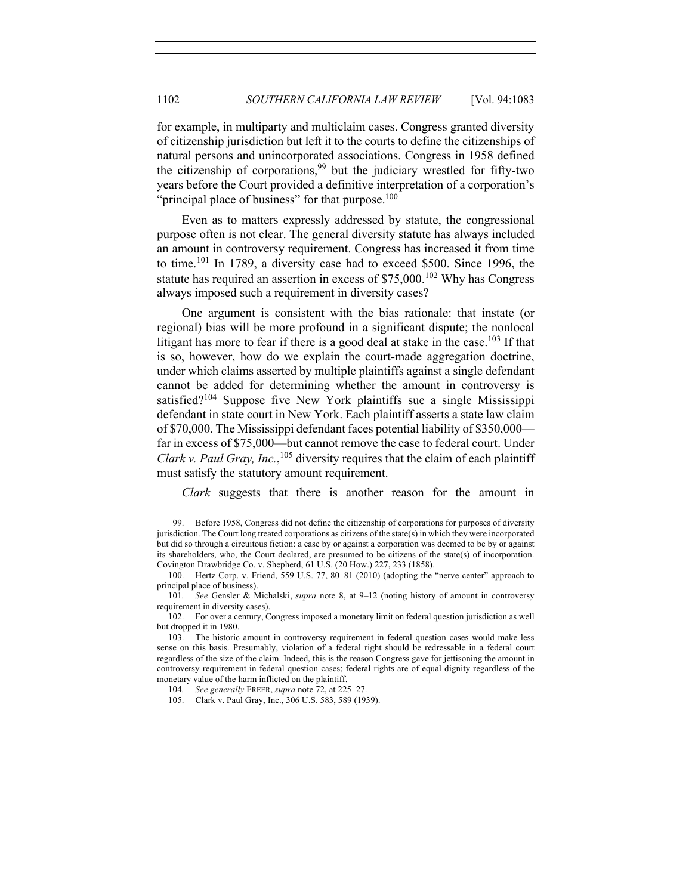for example, in multiparty and multiclaim cases. Congress granted diversity of citizenship jurisdiction but left it to the courts to define the citizenships of natural persons and unincorporated associations. Congress in 1958 defined the citizenship of corporations,  $99$  but the judiciary wrestled for fifty-two years before the Court provided a definitive interpretation of a corporation's "principal place of business" for that purpose.<sup>100</sup>

Even as to matters expressly addressed by statute, the congressional purpose often is not clear. The general diversity statute has always included an amount in controversy requirement. Congress has increased it from time to time.<sup>101</sup> In 1789, a diversity case had to exceed \$500. Since 1996, the statute has required an assertion in excess of  $$75,000$ .<sup>102</sup> Why has Congress always imposed such a requirement in diversity cases?

One argument is consistent with the bias rationale: that instate (or regional) bias will be more profound in a significant dispute; the nonlocal litigant has more to fear if there is a good deal at stake in the case.<sup>103</sup> If that is so, however, how do we explain the court-made aggregation doctrine, under which claims asserted by multiple plaintiffs against a single defendant cannot be added for determining whether the amount in controversy is satisfied?<sup>104</sup> Suppose five New York plaintiffs sue a single Mississippi defendant in state court in New York. Each plaintiff asserts a state law claim of \$70,000. The Mississippi defendant faces potential liability of \$350,000 far in excess of \$75,000—but cannot remove the case to federal court. Under Clark v. Paul Gray, Inc.,<sup>105</sup> diversity requires that the claim of each plaintiff must satisfy the statutory amount requirement.

*Clark* suggests that there is another reason for the amount in

<sup>99.</sup> Before 1958, Congress did not define the citizenship of corporations for purposes of diversity jurisdiction. The Court long treated corporations as citizens of the state(s) in which they were incorporated but did so through a circuitous fiction: a case by or against a corporation was deemed to be by or against its shareholders, who, the Court declared, are presumed to be citizens of the state(s) of incorporation. Covington Drawbridge Co. v. Shepherd, 61 U.S. (20 How.) 227, 233 (1858).

<sup>100.</sup> Hertz Corp. v. Friend, 559 U.S. 77, 80–81 (2010) (adopting the "nerve center" approach to principal place of business).

<sup>101</sup>*. See* Gensler & Michalski, *supra* note 8, at 9–12 (noting history of amount in controversy requirement in diversity cases).

<sup>102.</sup> For over a century, Congress imposed a monetary limit on federal question jurisdiction as well but dropped it in 1980.

<sup>103.</sup> The historic amount in controversy requirement in federal question cases would make less sense on this basis. Presumably, violation of a federal right should be redressable in a federal court regardless of the size of the claim. Indeed, this is the reason Congress gave for jettisoning the amount in controversy requirement in federal question cases; federal rights are of equal dignity regardless of the monetary value of the harm inflicted on the plaintiff.

<sup>104</sup>*. See generally* FREER, *supra* note 72, at 225–27.

<sup>105.</sup> Clark v. Paul Gray, Inc., 306 U.S. 583, 589 (1939).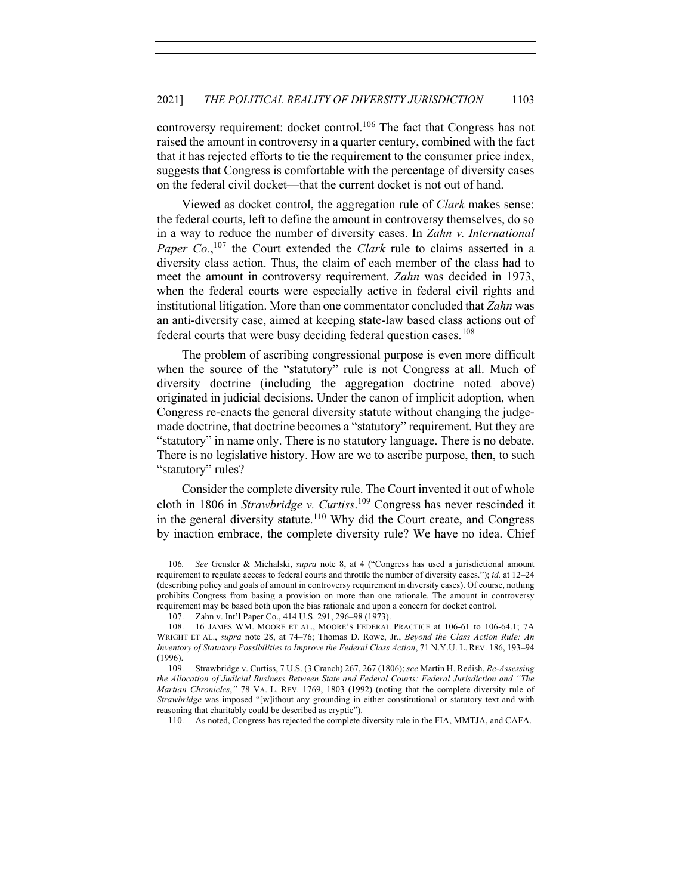controversy requirement: docket control.<sup>106</sup> The fact that Congress has not raised the amount in controversy in a quarter century, combined with the fact that it has rejected efforts to tie the requirement to the consumer price index, suggests that Congress is comfortable with the percentage of diversity cases on the federal civil docket—that the current docket is not out of hand.

Viewed as docket control, the aggregation rule of *Clark* makes sense: the federal courts, left to define the amount in controversy themselves, do so in a way to reduce the number of diversity cases. In *Zahn v. International*  Paper Co.,<sup>107</sup> the Court extended the *Clark* rule to claims asserted in a diversity class action. Thus, the claim of each member of the class had to meet the amount in controversy requirement. *Zahn* was decided in 1973, when the federal courts were especially active in federal civil rights and institutional litigation. More than one commentator concluded that *Zahn* was an anti-diversity case, aimed at keeping state-law based class actions out of federal courts that were busy deciding federal question cases.<sup>108</sup>

The problem of ascribing congressional purpose is even more difficult when the source of the "statutory" rule is not Congress at all. Much of diversity doctrine (including the aggregation doctrine noted above) originated in judicial decisions. Under the canon of implicit adoption, when Congress re-enacts the general diversity statute without changing the judgemade doctrine, that doctrine becomes a "statutory" requirement. But they are "statutory" in name only. There is no statutory language. There is no debate. There is no legislative history. How are we to ascribe purpose, then, to such "statutory" rules?

Consider the complete diversity rule. The Court invented it out of whole cloth in 1806 in *Strawbridge v. Curtiss*. <sup>109</sup> Congress has never rescinded it in the general diversity statute.<sup>110</sup> Why did the Court create, and Congress by inaction embrace, the complete diversity rule? We have no idea. Chief

<sup>106</sup>*. See* Gensler & Michalski, *supra* note 8, at 4 ("Congress has used a jurisdictional amount requirement to regulate access to federal courts and throttle the number of diversity cases."); *id.* at 12–24 (describing policy and goals of amount in controversy requirement in diversity cases). Of course, nothing prohibits Congress from basing a provision on more than one rationale. The amount in controversy requirement may be based both upon the bias rationale and upon a concern for docket control.

<sup>107.</sup> Zahn v. Int'l Paper Co., 414 U.S. 291, 296–98 (1973).

<sup>108.</sup> 16 JAMES WM. MOORE ET AL., MOORE'S FEDERAL PRACTICE at 106-61 to 106-64.1; 7A WRIGHT ET AL., *supra* note 28, at 74–76; Thomas D. Rowe, Jr., *Beyond the Class Action Rule: An Inventory of Statutory Possibilities to Improve the Federal Class Action*, 71 N.Y.U. L. REV. 186, 193–94 (1996).

<sup>109.</sup> Strawbridge v. Curtiss, 7 U.S. (3 Cranch) 267, 267 (1806); *see* Martin H. Redish, *Re-Assessing the Allocation of Judicial Business Between State and Federal Courts: Federal Jurisdiction and "The Martian Chronicles*,*"* 78 VA. L. REV. 1769, 1803 (1992) (noting that the complete diversity rule of *Strawbridge* was imposed "[w]ithout any grounding in either constitutional or statutory text and with reasoning that charitably could be described as cryptic").

<sup>110.</sup> As noted, Congress has rejected the complete diversity rule in the FIA, MMTJA, and CAFA.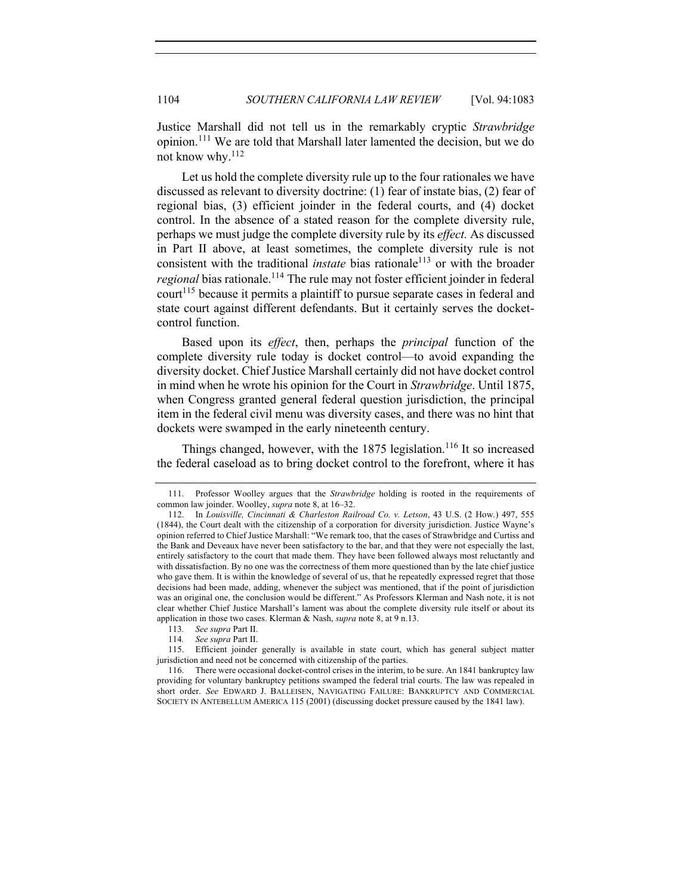Justice Marshall did not tell us in the remarkably cryptic *Strawbridge*  opinion.<sup>111</sup> We are told that Marshall later lamented the decision, but we do not know why.<sup>112</sup>

Let us hold the complete diversity rule up to the four rationales we have discussed as relevant to diversity doctrine: (1) fear of instate bias, (2) fear of regional bias, (3) efficient joinder in the federal courts, and (4) docket control. In the absence of a stated reason for the complete diversity rule, perhaps we must judge the complete diversity rule by its *effect.* As discussed in Part II above, at least sometimes, the complete diversity rule is not consistent with the traditional *instate* bias rationale<sup>113</sup> or with the broader *regional* bias rationale.<sup>114</sup> The rule may not foster efficient joinder in federal court<sup>115</sup> because it permits a plaintiff to pursue separate cases in federal and state court against different defendants. But it certainly serves the docketcontrol function.

Based upon its *effect*, then, perhaps the *principal* function of the complete diversity rule today is docket control—to avoid expanding the diversity docket. Chief Justice Marshall certainly did not have docket control in mind when he wrote his opinion for the Court in *Strawbridge*. Until 1875, when Congress granted general federal question jurisdiction, the principal item in the federal civil menu was diversity cases, and there was no hint that dockets were swamped in the early nineteenth century.

Things changed, however, with the  $1875$  legislation.<sup>116</sup> It so increased the federal caseload as to bring docket control to the forefront, where it has

<sup>111.</sup> Professor Woolley argues that the *Strawbridge* holding is rooted in the requirements of common law joinder. Woolley, *supra* note 8, at 16–32.

<sup>112.</sup> In *Louisville, Cincinnati & Charleston Railroad Co. v. Letson*, 43 U.S. (2 How.) 497, 555 (1844), the Court dealt with the citizenship of a corporation for diversity jurisdiction. Justice Wayne's opinion referred to Chief Justice Marshall: "We remark too, that the cases of Strawbridge and Curtiss and the Bank and Deveaux have never been satisfactory to the bar, and that they were not especially the last, entirely satisfactory to the court that made them. They have been followed always most reluctantly and with dissatisfaction. By no one was the correctness of them more questioned than by the late chief justice who gave them. It is within the knowledge of several of us, that he repeatedly expressed regret that those decisions had been made, adding, whenever the subject was mentioned, that if the point of jurisdiction was an original one, the conclusion would be different." As Professors Klerman and Nash note, it is not clear whether Chief Justice Marshall's lament was about the complete diversity rule itself or about its application in those two cases. Klerman & Nash, *supra* note 8, at 9 n.13.

<sup>113</sup>*. See supra* Part II.

<sup>114</sup>*. See supra* Part II.

<sup>115.</sup> Efficient joinder generally is available in state court, which has general subject matter jurisdiction and need not be concerned with citizenship of the parties.

<sup>116.</sup> There were occasional docket-control crises in the interim, to be sure. An 1841 bankruptcy law providing for voluntary bankruptcy petitions swamped the federal trial courts. The law was repealed in short order. *See* EDWARD J. BALLEISEN, NAVIGATING FAILURE: BANKRUPTCY AND COMMERCIAL SOCIETY IN ANTEBELLUM AMERICA 115 (2001) (discussing docket pressure caused by the 1841 law).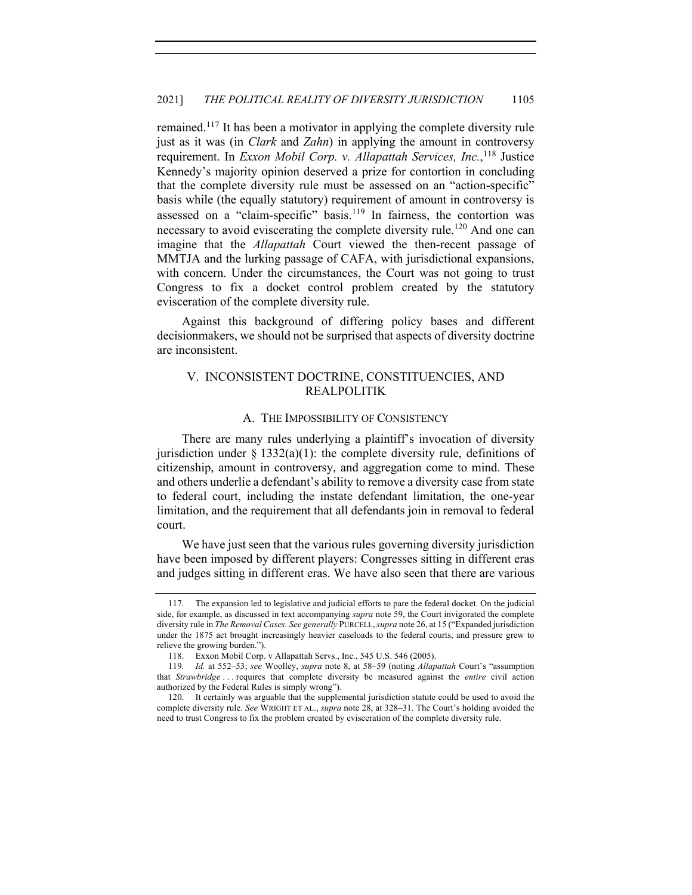remained.<sup>117</sup> It has been a motivator in applying the complete diversity rule just as it was (in *Clark* and *Zahn*) in applying the amount in controversy requirement. In *Exxon Mobil Corp. v. Allapattah Services, Inc.*, <sup>118</sup> Justice Kennedy's majority opinion deserved a prize for contortion in concluding that the complete diversity rule must be assessed on an "action-specific" basis while (the equally statutory) requirement of amount in controversy is assessed on a "claim-specific" basis.<sup>119</sup> In fairness, the contortion was necessary to avoid eviscerating the complete diversity rule.<sup>120</sup> And one can imagine that the *Allapattah* Court viewed the then-recent passage of MMTJA and the lurking passage of CAFA, with jurisdictional expansions, with concern. Under the circumstances, the Court was not going to trust Congress to fix a docket control problem created by the statutory evisceration of the complete diversity rule.

Against this background of differing policy bases and different decisionmakers, we should not be surprised that aspects of diversity doctrine are inconsistent.

# V. INCONSISTENT DOCTRINE, CONSTITUENCIES, AND REALPOLITIK

### A. THE IMPOSSIBILITY OF CONSISTENCY

There are many rules underlying a plaintiff's invocation of diversity jurisdiction under  $\S$  1332(a)(1): the complete diversity rule, definitions of citizenship, amount in controversy, and aggregation come to mind. These and others underlie a defendant's ability to remove a diversity case from state to federal court, including the instate defendant limitation, the one-year limitation, and the requirement that all defendants join in removal to federal court.

We have just seen that the various rules governing diversity jurisdiction have been imposed by different players: Congresses sitting in different eras and judges sitting in different eras. We have also seen that there are various

<sup>117.</sup> The expansion led to legislative and judicial efforts to pare the federal docket. On the judicial side, for example, as discussed in text accompanying *supra* note 59, the Court invigorated the complete diversity rule in *The Removal Cases. See generally* PURCELL, *supra* note 26, at 15 ("Expanded jurisdiction under the 1875 act brought increasingly heavier caseloads to the federal courts, and pressure grew to relieve the growing burden.").

<sup>118.</sup> Exxon Mobil Corp. v Allapattah Servs., Inc., 545 U.S. 546 (2005).

<sup>119</sup>*. Id.* at 552–53; *see* Woolley, *supra* note 8, at 58–59 (noting *Allapattah* Court's "assumption that *Strawbridge* . . . requires that complete diversity be measured against the *entire* civil action authorized by the Federal Rules is simply wrong").

<sup>120.</sup> It certainly was arguable that the supplemental jurisdiction statute could be used to avoid the complete diversity rule. *See* WRIGHT ET AL., *supra* note 28, at 328–31. The Court's holding avoided the need to trust Congress to fix the problem created by evisceration of the complete diversity rule.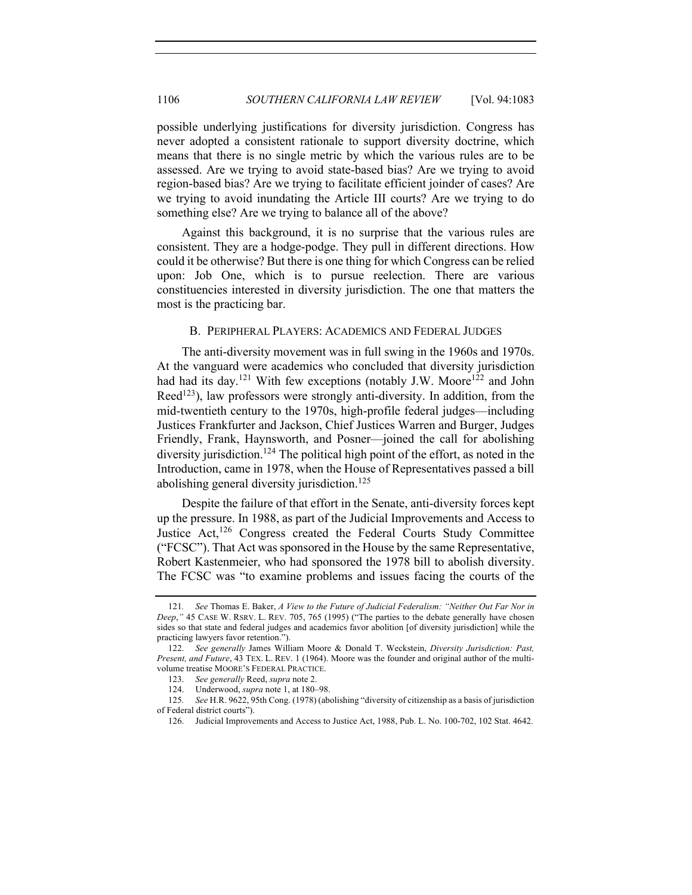possible underlying justifications for diversity jurisdiction. Congress has never adopted a consistent rationale to support diversity doctrine, which means that there is no single metric by which the various rules are to be assessed. Are we trying to avoid state-based bias? Are we trying to avoid region-based bias? Are we trying to facilitate efficient joinder of cases? Are we trying to avoid inundating the Article III courts? Are we trying to do something else? Are we trying to balance all of the above?

Against this background, it is no surprise that the various rules are consistent. They are a hodge-podge. They pull in different directions. How could it be otherwise? But there is one thing for which Congress can be relied upon: Job One, which is to pursue reelection. There are various constituencies interested in diversity jurisdiction. The one that matters the most is the practicing bar.

### B. PERIPHERAL PLAYERS: ACADEMICS AND FEDERAL JUDGES

The anti-diversity movement was in full swing in the 1960s and 1970s. At the vanguard were academics who concluded that diversity jurisdiction had had its day.<sup>121</sup> With few exceptions (notably J.W. Moore<sup>122</sup> and John Reed<sup>123</sup>), law professors were strongly anti-diversity. In addition, from the mid-twentieth century to the 1970s, high-profile federal judges—including Justices Frankfurter and Jackson, Chief Justices Warren and Burger, Judges Friendly, Frank, Haynsworth, and Posner—joined the call for abolishing diversity jurisdiction.<sup>124</sup> The political high point of the effort, as noted in the Introduction, came in 1978, when the House of Representatives passed a bill abolishing general diversity jurisdiction.<sup>125</sup>

Despite the failure of that effort in the Senate, anti-diversity forces kept up the pressure. In 1988, as part of the Judicial Improvements and Access to Justice Act,<sup>126</sup> Congress created the Federal Courts Study Committee ("FCSC"). That Act was sponsored in the House by the same Representative, Robert Kastenmeier, who had sponsored the 1978 bill to abolish diversity. The FCSC was "to examine problems and issues facing the courts of the

<sup>121</sup>*. See* Thomas E. Baker, *A View to the Future of Judicial Federalism: "Neither Out Far Nor in Deep*,*"* 45 CASE W. RSRV. L. REV. 705, 765 (1995) ("The parties to the debate generally have chosen sides so that state and federal judges and academics favor abolition [of diversity jurisdiction] while the practicing lawyers favor retention.").

<sup>122.</sup> *See generally* James William Moore & Donald T. Weckstein, *Diversity Jurisdiction: Past, Present, and Future*, 43 TEX. L. REV. 1 (1964). Moore was the founder and original author of the multivolume treatise MOORE'S FEDERAL PRACTICE.

<sup>123.</sup> *See generally* Reed, *supra* note 2.

<sup>124.</sup> Underwood, *supra* note 1, at 180–98.

<sup>125</sup>*. See* H.R. 9622, 95th Cong. (1978) (abolishing "diversity of citizenship as a basis of jurisdiction of Federal district courts").

<sup>126.</sup> Judicial Improvements and Access to Justice Act, 1988, Pub. L. No. 100-702, 102 Stat. 4642.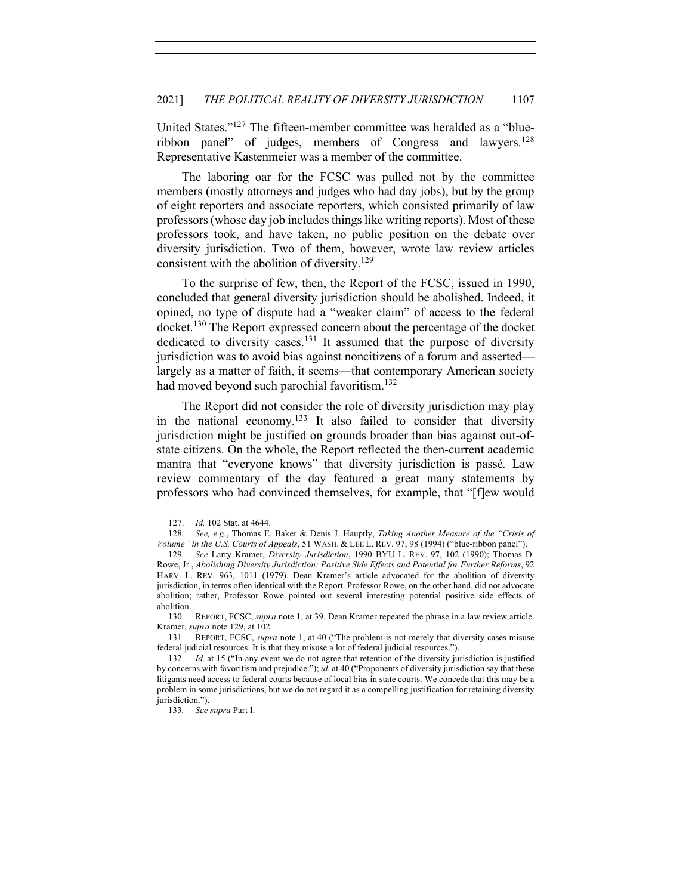United States."127 The fifteen-member committee was heralded as a "blueribbon panel" of judges, members of Congress and lawyers.<sup>128</sup> Representative Kastenmeier was a member of the committee.

The laboring oar for the FCSC was pulled not by the committee members (mostly attorneys and judges who had day jobs), but by the group of eight reporters and associate reporters, which consisted primarily of law professors (whose day job includes things like writing reports). Most of these professors took, and have taken, no public position on the debate over diversity jurisdiction. Two of them, however, wrote law review articles consistent with the abolition of diversity.<sup>129</sup>

To the surprise of few, then, the Report of the FCSC, issued in 1990, concluded that general diversity jurisdiction should be abolished. Indeed, it opined, no type of dispute had a "weaker claim" of access to the federal docket.<sup>130</sup> The Report expressed concern about the percentage of the docket dedicated to diversity cases.<sup>131</sup> It assumed that the purpose of diversity jurisdiction was to avoid bias against noncitizens of a forum and asserted largely as a matter of faith, it seems—that contemporary American society had moved beyond such parochial favoritism.<sup>132</sup>

The Report did not consider the role of diversity jurisdiction may play in the national economy.<sup>133</sup> It also failed to consider that diversity jurisdiction might be justified on grounds broader than bias against out-ofstate citizens. On the whole, the Report reflected the then-current academic mantra that "everyone knows" that diversity jurisdiction is passé*.* Law review commentary of the day featured a great many statements by professors who had convinced themselves, for example, that "[f]ew would

133*. See supra* Part I.

<sup>127.</sup> *Id.* 102 Stat. at 4644.

<sup>128</sup>*. See, e.g.*, Thomas E. Baker & Denis J. Hauptly, *Taking Another Measure of the "Crisis of Volume" in the U.S. Courts of Appeals*, 51 WASH. & LEE L. REV. 97, 98 (1994) ("blue-ribbon panel").

<sup>129</sup>*. See* Larry Kramer, *Diversity Jurisdiction*, 1990 BYU L. REV. 97, 102 (1990); Thomas D. Rowe, Jr., *Abolishing Diversity Jurisdiction: Positive Side Effects and Potential for Further Reforms*, 92 HARV. L. REV. 963, 1011 (1979). Dean Kramer's article advocated for the abolition of diversity jurisdiction, in terms often identical with the Report. Professor Rowe, on the other hand, did not advocate abolition; rather, Professor Rowe pointed out several interesting potential positive side effects of abolition.

<sup>130.</sup> REPORT, FCSC, *supra* note 1, at 39. Dean Kramer repeated the phrase in a law review article. Kramer, *supra* note 129, at 102.

<sup>131.</sup> REPORT, FCSC, *supra* note 1, at 40 ("The problem is not merely that diversity cases misuse federal judicial resources. It is that they misuse a lot of federal judicial resources.").

<sup>132.</sup> *Id.* at 15 ("In any event we do not agree that retention of the diversity jurisdiction is justified by concerns with favoritism and prejudice."); *id.* at 40 ("Proponents of diversity jurisdiction say that these litigants need access to federal courts because of local bias in state courts. We concede that this may be a problem in some jurisdictions, but we do not regard it as a compelling justification for retaining diversity jurisdiction.").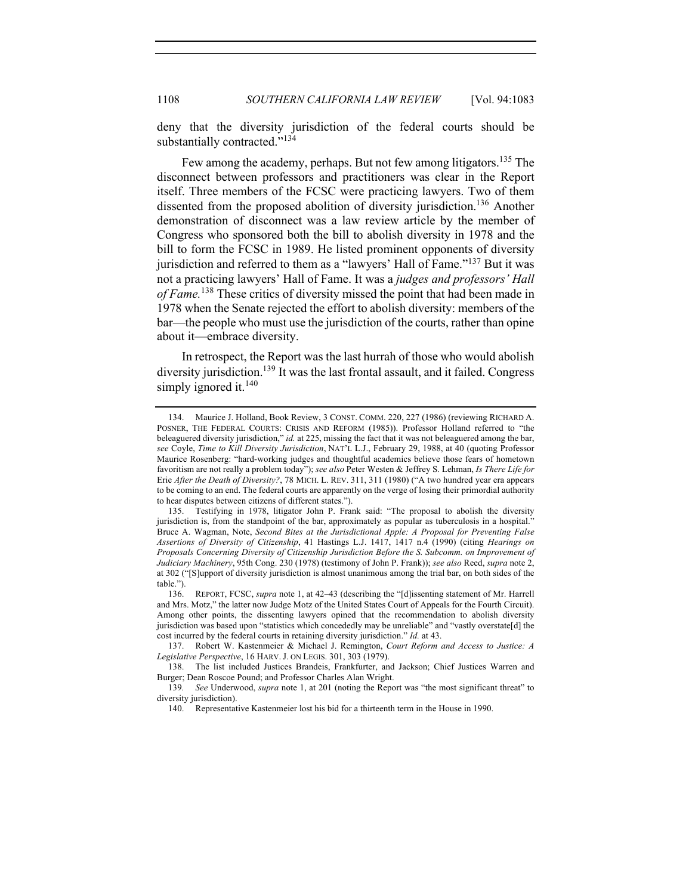deny that the diversity jurisdiction of the federal courts should be substantially contracted."<sup>134</sup>

Few among the academy, perhaps. But not few among litigators.135 The disconnect between professors and practitioners was clear in the Report itself. Three members of the FCSC were practicing lawyers. Two of them dissented from the proposed abolition of diversity jurisdiction.<sup>136</sup> Another demonstration of disconnect was a law review article by the member of Congress who sponsored both the bill to abolish diversity in 1978 and the bill to form the FCSC in 1989. He listed prominent opponents of diversity jurisdiction and referred to them as a "lawyers' Hall of Fame."<sup>137</sup> But it was not a practicing lawyers' Hall of Fame. It was a *judges and professors' Hall of Fame.*<sup>138</sup> These critics of diversity missed the point that had been made in 1978 when the Senate rejected the effort to abolish diversity: members of the bar—the people who must use the jurisdiction of the courts, rather than opine about it—embrace diversity.

In retrospect, the Report was the last hurrah of those who would abolish diversity jurisdiction.<sup>139</sup> It was the last frontal assault, and it failed. Congress simply ignored it. $140$ 

<sup>134.</sup> Maurice J. Holland, Book Review, 3 CONST. COMM. 220, 227 (1986) (reviewing RICHARD A. POSNER, THE FEDERAL COURTS: CRISIS AND REFORM (1985)). Professor Holland referred to "the beleaguered diversity jurisdiction," *id.* at 225, missing the fact that it was not beleaguered among the bar, *see* Coyle, *Time to Kill Diversity Jurisdiction*, NAT'L L.J., February 29, 1988, at 40 (quoting Professor Maurice Rosenberg: "hard-working judges and thoughtful academics believe those fears of hometown favoritism are not really a problem today"); *see also* Peter Westen & Jeffrey S. Lehman, *Is There Life for*  Erie *After the Death of Diversity?*, 78 MICH. L. REV. 311, 311 (1980) ("A two hundred year era appears to be coming to an end. The federal courts are apparently on the verge of losing their primordial authority to hear disputes between citizens of different states.").

<sup>135.</sup> Testifying in 1978, litigator John P. Frank said: "The proposal to abolish the diversity jurisdiction is, from the standpoint of the bar, approximately as popular as tuberculosis in a hospital." Bruce A. Wagman, Note, *Second Bites at the Jurisdictional Apple: A Proposal for Preventing False Assertions of Diversity of Citizenship*, 41 Hastings L.J. 1417, 1417 n.4 (1990) (citing *Hearings on Proposals Concerning Diversity of Citizenship Jurisdiction Before the S. Subcomm. on Improvement of Judiciary Machinery*, 95th Cong. 230 (1978) (testimony of John P. Frank)); *see also* Reed, *supra* note 2, at 302 ("[S]upport of diversity jurisdiction is almost unanimous among the trial bar, on both sides of the table.").

<sup>136.</sup> REPORT, FCSC, *supra* note 1, at 42–43 (describing the "[d]issenting statement of Mr. Harrell and Mrs. Motz," the latter now Judge Motz of the United States Court of Appeals for the Fourth Circuit). Among other points, the dissenting lawyers opined that the recommendation to abolish diversity jurisdiction was based upon "statistics which concededly may be unreliable" and "vastly overstate[d] the cost incurred by the federal courts in retaining diversity jurisdiction." *Id.* at 43.

<sup>137.</sup> Robert W. Kastenmeier & Michael J. Remington, *Court Reform and Access to Justice: A Legislative Perspective*, 16 HARV. J. ON LEGIS. 301, 303 (1979).

<sup>138.</sup> The list included Justices Brandeis, Frankfurter, and Jackson; Chief Justices Warren and Burger; Dean Roscoe Pound; and Professor Charles Alan Wright.

<sup>139</sup>*. See* Underwood, *supra* note 1, at 201 (noting the Report was "the most significant threat" to diversity jurisdiction).

<sup>140.</sup> Representative Kastenmeier lost his bid for a thirteenth term in the House in 1990.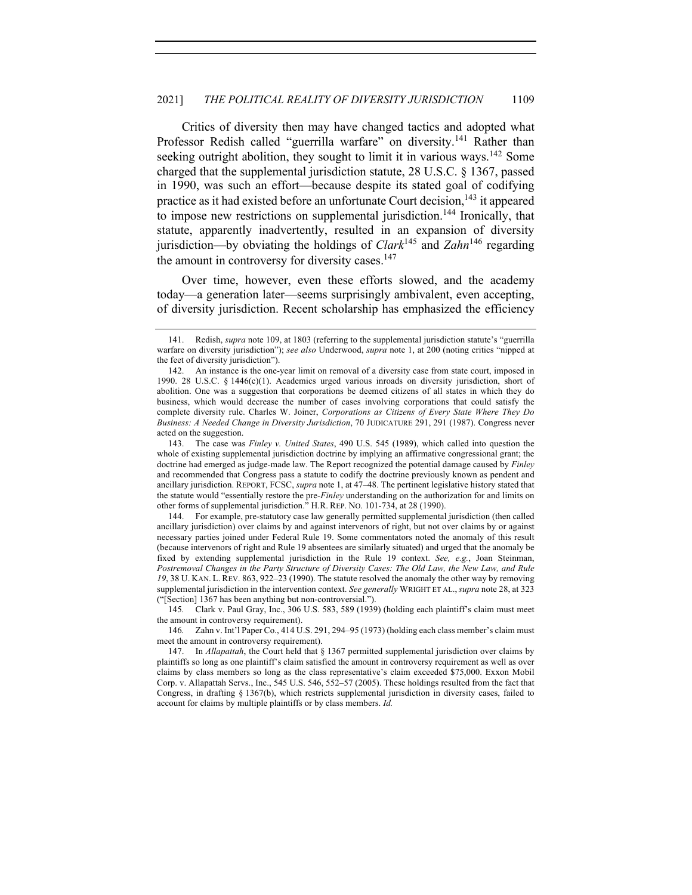Critics of diversity then may have changed tactics and adopted what Professor Redish called "guerrilla warfare" on diversity.<sup>141</sup> Rather than seeking outright abolition, they sought to limit it in various ways.<sup>142</sup> Some charged that the supplemental jurisdiction statute, 28 U.S.C. § 1367, passed in 1990, was such an effort—because despite its stated goal of codifying practice as it had existed before an unfortunate Court decision,  $143$  it appeared to impose new restrictions on supplemental jurisdiction.<sup>144</sup> Ironically, that statute, apparently inadvertently, resulted in an expansion of diversity jurisdiction—by obviating the holdings of *Clark*<sup>145</sup> and *Zahn*<sup>146</sup> regarding the amount in controversy for diversity cases.<sup>147</sup>

Over time, however, even these efforts slowed, and the academy today—a generation later—seems surprisingly ambivalent, even accepting, of diversity jurisdiction. Recent scholarship has emphasized the efficiency

144. For example, pre-statutory case law generally permitted supplemental jurisdiction (then called ancillary jurisdiction) over claims by and against intervenors of right, but not over claims by or against necessary parties joined under Federal Rule 19. Some commentators noted the anomaly of this result (because intervenors of right and Rule 19 absentees are similarly situated) and urged that the anomaly be fixed by extending supplemental jurisdiction in the Rule 19 context. *See, e.g.*, Joan Steinman, *Postremoval Changes in the Party Structure of Diversity Cases: The Old Law, the New Law, and Rule 19*, 38 U. KAN. L. REV. 863, 922–23 (1990). The statute resolved the anomaly the other way by removing supplemental jurisdiction in the intervention context. *See generally* WRIGHT ET AL.,*supra* note 28, at 323 ("[Section] 1367 has been anything but non-controversial.").

145*.* Clark v. Paul Gray, Inc., 306 U.S. 583, 589 (1939) (holding each plaintiff's claim must meet the amount in controversy requirement).

146*.* Zahn v. Int'l Paper Co., 414 U.S. 291, 294–95 (1973) (holding each class member's claim must meet the amount in controversy requirement).

<sup>141.</sup> Redish, *supra* note 109, at 1803 (referring to the supplemental jurisdiction statute's "guerrilla warfare on diversity jurisdiction"); *see also* Underwood, *supra* note 1, at 200 (noting critics "nipped at the feet of diversity jurisdiction").

<sup>142.</sup> An instance is the one-year limit on removal of a diversity case from state court, imposed in 1990. 28 U.S.C. § 1446(c)(1). Academics urged various inroads on diversity jurisdiction, short of abolition. One was a suggestion that corporations be deemed citizens of all states in which they do business, which would decrease the number of cases involving corporations that could satisfy the complete diversity rule. Charles W. Joiner, *Corporations as Citizens of Every State Where They Do Business: A Needed Change in Diversity Jurisdiction*, 70 JUDICATURE 291, 291 (1987). Congress never acted on the suggestion.

<sup>143.</sup> The case was *Finley v. United States*, 490 U.S. 545 (1989), which called into question the whole of existing supplemental jurisdiction doctrine by implying an affirmative congressional grant; the doctrine had emerged as judge-made law. The Report recognized the potential damage caused by *Finley* and recommended that Congress pass a statute to codify the doctrine previously known as pendent and ancillary jurisdiction. REPORT, FCSC, *supra* note 1, at 47–48. The pertinent legislative history stated that the statute would "essentially restore the pre-*Finley* understanding on the authorization for and limits on other forms of supplemental jurisdiction." H.R. REP. NO. 101-734, at 28 (1990).

<sup>147.</sup> In *Allapattah*, the Court held that § 1367 permitted supplemental jurisdiction over claims by plaintiffs so long as one plaintiff's claim satisfied the amount in controversy requirement as well as over claims by class members so long as the class representative's claim exceeded \$75,000. Exxon Mobil Corp. v. Allapattah Servs., Inc., 545 U.S. 546, 552–57 (2005). These holdings resulted from the fact that Congress, in drafting § 1367(b), which restricts supplemental jurisdiction in diversity cases, failed to account for claims by multiple plaintiffs or by class members. *Id.*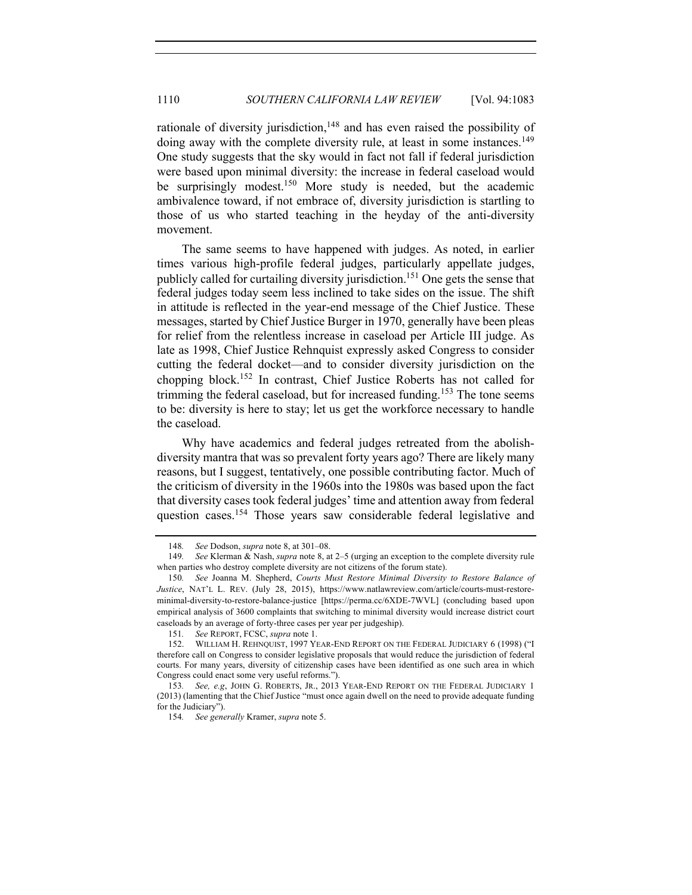rationale of diversity jurisdiction,<sup>148</sup> and has even raised the possibility of doing away with the complete diversity rule, at least in some instances.<sup>149</sup> One study suggests that the sky would in fact not fall if federal jurisdiction were based upon minimal diversity: the increase in federal caseload would be surprisingly modest.<sup>150</sup> More study is needed, but the academic ambivalence toward, if not embrace of, diversity jurisdiction is startling to those of us who started teaching in the heyday of the anti-diversity movement.

The same seems to have happened with judges. As noted, in earlier times various high-profile federal judges, particularly appellate judges, publicly called for curtailing diversity jurisdiction.<sup>151</sup> One gets the sense that federal judges today seem less inclined to take sides on the issue. The shift in attitude is reflected in the year-end message of the Chief Justice. These messages, started by Chief Justice Burger in 1970, generally have been pleas for relief from the relentless increase in caseload per Article III judge. As late as 1998, Chief Justice Rehnquist expressly asked Congress to consider cutting the federal docket—and to consider diversity jurisdiction on the chopping block.152 In contrast, Chief Justice Roberts has not called for trimming the federal caseload, but for increased funding.<sup>153</sup> The tone seems to be: diversity is here to stay; let us get the workforce necessary to handle the caseload.

Why have academics and federal judges retreated from the abolishdiversity mantra that was so prevalent forty years ago? There are likely many reasons, but I suggest, tentatively, one possible contributing factor. Much of the criticism of diversity in the 1960s into the 1980s was based upon the fact that diversity cases took federal judges' time and attention away from federal question cases.<sup>154</sup> Those years saw considerable federal legislative and

<sup>148</sup>*. See* Dodson, *supra* note 8, at 301–08.

<sup>149</sup>*. See* Klerman & Nash, *supra* note 8, at 2–5 (urging an exception to the complete diversity rule when parties who destroy complete diversity are not citizens of the forum state).

<sup>150</sup>*. See* Joanna M. Shepherd, *Courts Must Restore Minimal Diversity to Restore Balance of Justice*, NAT'L L. REV. (July 28, 2015), https://www.natlawreview.com/article/courts-must-restoreminimal-diversity-to-restore-balance-justice [https://perma.cc/6XDE-7WVL] (concluding based upon empirical analysis of 3600 complaints that switching to minimal diversity would increase district court caseloads by an average of forty-three cases per year per judgeship).

<sup>151</sup>*. See* REPORT, FCSC, *supra* note 1.

<sup>152.</sup> WILLIAM H. REHNQUIST, 1997 YEAR-END REPORT ON THE FEDERAL JUDICIARY 6 (1998) ("I therefore call on Congress to consider legislative proposals that would reduce the jurisdiction of federal courts. For many years, diversity of citizenship cases have been identified as one such area in which Congress could enact some very useful reforms.").

<sup>153</sup>*. See, e.g*, JOHN G. ROBERTS, JR., 2013 YEAR-END REPORT ON THE FEDERAL JUDICIARY 1 (2013) (lamenting that the Chief Justice "must once again dwell on the need to provide adequate funding for the Judiciary").

<sup>154</sup>*. See generally* Kramer, *supra* note 5.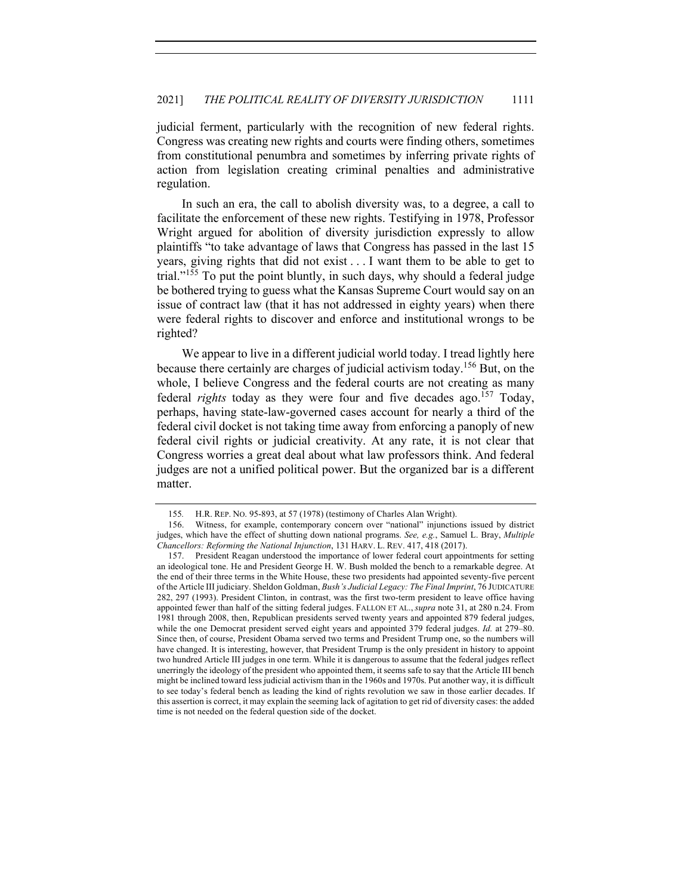judicial ferment, particularly with the recognition of new federal rights. Congress was creating new rights and courts were finding others, sometimes from constitutional penumbra and sometimes by inferring private rights of action from legislation creating criminal penalties and administrative regulation.

In such an era, the call to abolish diversity was, to a degree, a call to facilitate the enforcement of these new rights. Testifying in 1978, Professor Wright argued for abolition of diversity jurisdiction expressly to allow plaintiffs "to take advantage of laws that Congress has passed in the last 15 years, giving rights that did not exist . . . I want them to be able to get to trial."<sup>155</sup> To put the point bluntly, in such days, why should a federal judge be bothered trying to guess what the Kansas Supreme Court would say on an issue of contract law (that it has not addressed in eighty years) when there were federal rights to discover and enforce and institutional wrongs to be righted?

We appear to live in a different judicial world today. I tread lightly here because there certainly are charges of judicial activism today.<sup>156</sup> But, on the whole, I believe Congress and the federal courts are not creating as many federal *rights* today as they were four and five decades ago.<sup>157</sup> Today, perhaps, having state-law-governed cases account for nearly a third of the federal civil docket is not taking time away from enforcing a panoply of new federal civil rights or judicial creativity. At any rate, it is not clear that Congress worries a great deal about what law professors think. And federal judges are not a unified political power. But the organized bar is a different matter.

<sup>155</sup>*.* H.R. REP. NO. 95-893, at 57 (1978) (testimony of Charles Alan Wright).

<sup>156.</sup> Witness, for example, contemporary concern over "national" injunctions issued by district judges, which have the effect of shutting down national programs. *See, e.g.*, Samuel L. Bray, *Multiple Chancellors: Reforming the National Injunction*, 131 HARV. L. REV. 417, 418 (2017).

<sup>157.</sup> President Reagan understood the importance of lower federal court appointments for setting an ideological tone. He and President George H. W. Bush molded the bench to a remarkable degree. At the end of their three terms in the White House, these two presidents had appointed seventy-five percent of the Article III judiciary. Sheldon Goldman, *Bush's Judicial Legacy: The Final Imprint*, 76 JUDICATURE 282, 297 (1993). President Clinton, in contrast, was the first two-term president to leave office having appointed fewer than half of the sitting federal judges. FALLON ET AL., *supra* note 31, at 280 n.24. From 1981 through 2008, then, Republican presidents served twenty years and appointed 879 federal judges, while the one Democrat president served eight years and appointed 379 federal judges. *Id.* at 279–80. Since then, of course, President Obama served two terms and President Trump one, so the numbers will have changed. It is interesting, however, that President Trump is the only president in history to appoint two hundred Article III judges in one term. While it is dangerous to assume that the federal judges reflect unerringly the ideology of the president who appointed them, it seems safe to say that the Article III bench might be inclined toward less judicial activism than in the 1960s and 1970s. Put another way, it is difficult to see today's federal bench as leading the kind of rights revolution we saw in those earlier decades. If this assertion is correct, it may explain the seeming lack of agitation to get rid of diversity cases: the added time is not needed on the federal question side of the docket.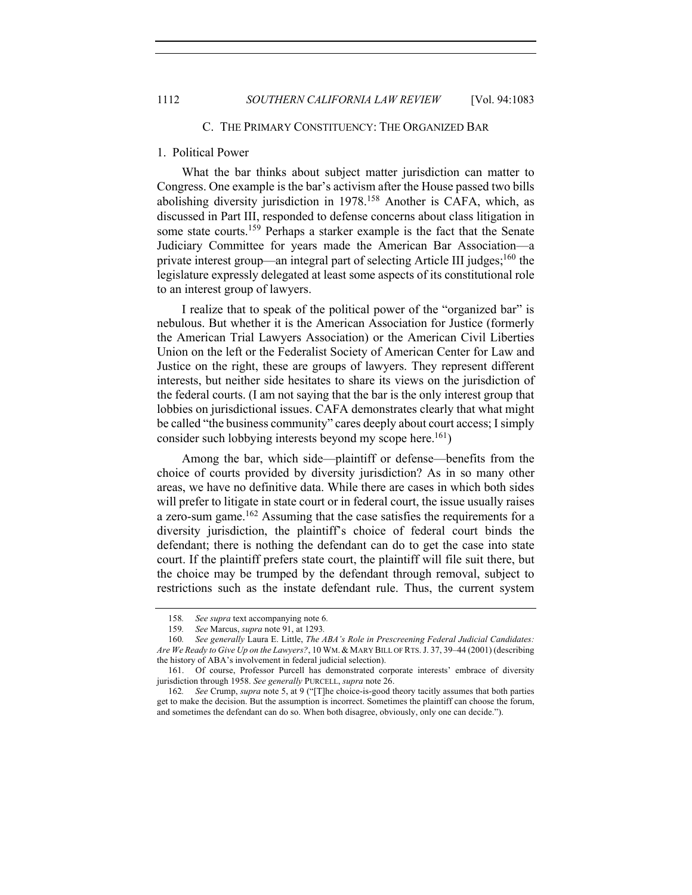#### C. THE PRIMARY CONSTITUENCY: THE ORGANIZED BAR

## 1. Political Power

What the bar thinks about subject matter jurisdiction can matter to Congress. One example is the bar's activism after the House passed two bills abolishing diversity jurisdiction in 1978.<sup>158</sup> Another is CAFA, which, as discussed in Part III, responded to defense concerns about class litigation in some state courts.<sup>159</sup> Perhaps a starker example is the fact that the Senate Judiciary Committee for years made the American Bar Association—a private interest group—an integral part of selecting Article III judges;<sup>160</sup> the legislature expressly delegated at least some aspects of its constitutional role to an interest group of lawyers.

I realize that to speak of the political power of the "organized bar" is nebulous. But whether it is the American Association for Justice (formerly the American Trial Lawyers Association) or the American Civil Liberties Union on the left or the Federalist Society of American Center for Law and Justice on the right, these are groups of lawyers. They represent different interests, but neither side hesitates to share its views on the jurisdiction of the federal courts. (I am not saying that the bar is the only interest group that lobbies on jurisdictional issues. CAFA demonstrates clearly that what might be called "the business community" cares deeply about court access; I simply consider such lobbying interests beyond my scope here.<sup>161</sup>)

Among the bar, which side—plaintiff or defense—benefits from the choice of courts provided by diversity jurisdiction? As in so many other areas, we have no definitive data. While there are cases in which both sides will prefer to litigate in state court or in federal court, the issue usually raises a zero-sum game.<sup>162</sup> Assuming that the case satisfies the requirements for a diversity jurisdiction, the plaintiff's choice of federal court binds the defendant; there is nothing the defendant can do to get the case into state court. If the plaintiff prefers state court, the plaintiff will file suit there, but the choice may be trumped by the defendant through removal, subject to restrictions such as the instate defendant rule. Thus, the current system

<sup>158</sup>*. See supra* text accompanying note 6*.*

<sup>159</sup>*. See* Marcus, *supra* note 91, at 1293*.*

<sup>160</sup>*. See generally* Laura E. Little, *The ABA's Role in Prescreening Federal Judicial Candidates: Are We Ready to Give Up on the Lawyers?*, 10 WM. & MARY BILL OF RTS.J. 37, 39–44 (2001) (describing the history of ABA's involvement in federal judicial selection).

<sup>161.</sup> Of course, Professor Purcell has demonstrated corporate interests' embrace of diversity jurisdiction through 1958. *See generally* PURCELL, *supra* note 26.

<sup>162</sup>*. See* Crump, *supra* note 5, at 9 ("[T]he choice-is-good theory tacitly assumes that both parties get to make the decision. But the assumption is incorrect. Sometimes the plaintiff can choose the forum, and sometimes the defendant can do so. When both disagree, obviously, only one can decide.").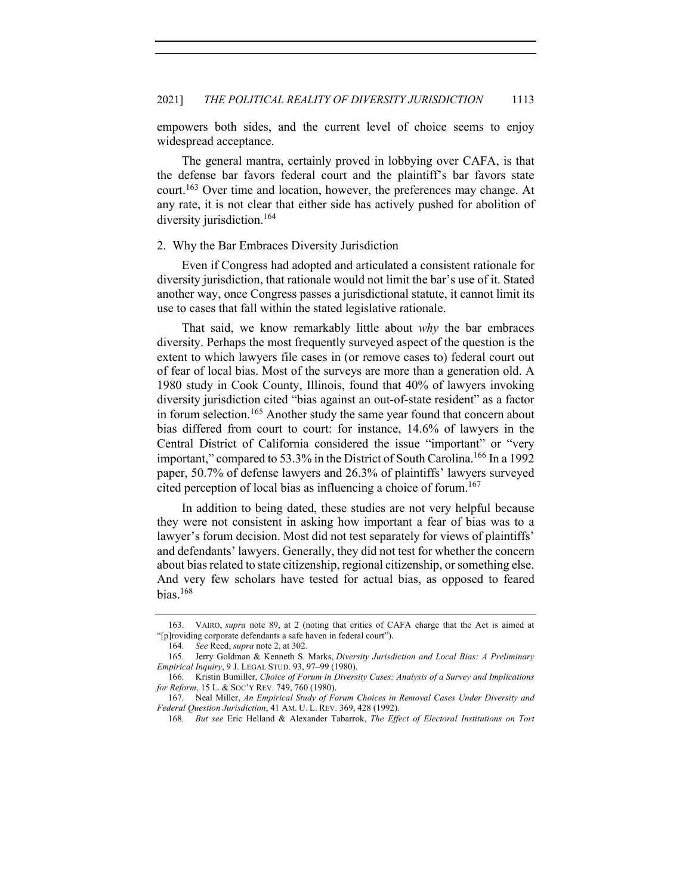empowers both sides, and the current level of choice seems to enjoy widespread acceptance.

The general mantra, certainly proved in lobbying over CAFA, is that the defense bar favors federal court and the plaintiff's bar favors state court.<sup>163</sup> Over time and location, however, the preferences may change. At any rate, it is not clear that either side has actively pushed for abolition of diversity jurisdiction.<sup>164</sup>

#### 2. Why the Bar Embraces Diversity Jurisdiction

Even if Congress had adopted and articulated a consistent rationale for diversity jurisdiction, that rationale would not limit the bar's use of it. Stated another way, once Congress passes a jurisdictional statute, it cannot limit its use to cases that fall within the stated legislative rationale.

That said, we know remarkably little about *why* the bar embraces diversity. Perhaps the most frequently surveyed aspect of the question is the extent to which lawyers file cases in (or remove cases to) federal court out of fear of local bias. Most of the surveys are more than a generation old. A 1980 study in Cook County, Illinois, found that 40% of lawyers invoking diversity jurisdiction cited "bias against an out-of-state resident" as a factor in forum selection.<sup>165</sup> Another study the same year found that concern about bias differed from court to court: for instance, 14.6% of lawyers in the Central District of California considered the issue "important" or "very important," compared to 53.3% in the District of South Carolina.<sup>166</sup> In a 1992 paper, 50.7% of defense lawyers and 26.3% of plaintiffs' lawyers surveyed cited perception of local bias as influencing a choice of forum.<sup>167</sup>

In addition to being dated, these studies are not very helpful because they were not consistent in asking how important a fear of bias was to a lawyer's forum decision. Most did not test separately for views of plaintiffs' and defendants' lawyers. Generally, they did not test for whether the concern about bias related to state citizenship, regional citizenship, or something else. And very few scholars have tested for actual bias, as opposed to feared  $bias.<sup>168</sup>$ 

<sup>163.</sup> VAIRO, *supra* note 89, at 2 (noting that critics of CAFA charge that the Act is aimed at "[p]roviding corporate defendants a safe haven in federal court").

<sup>164</sup>*. See* Reed, *supra* note 2, at 302.

<sup>165.</sup> Jerry Goldman & Kenneth S. Marks, *Diversity Jurisdiction and Local Bias: A Preliminary Empirical Inquiry*, 9 J. LEGAL STUD. 93, 97–99 (1980).

<sup>166.</sup> Kristin Bumiller, *Choice of Forum in Diversity Cases: Analysis of a Survey and Implications for Reform*, 15 L. & SOC'Y REV. 749, 760 (1980).

<sup>167.</sup> Neal Miller, *An Empirical Study of Forum Choices in Removal Cases Under Diversity and Federal Question Jurisdiction*, 41 AM. U. L. REV. 369, 428 (1992).

<sup>168</sup>*. But see* Eric Helland & Alexander Tabarrok, *The Effect of Electoral Institutions on Tort*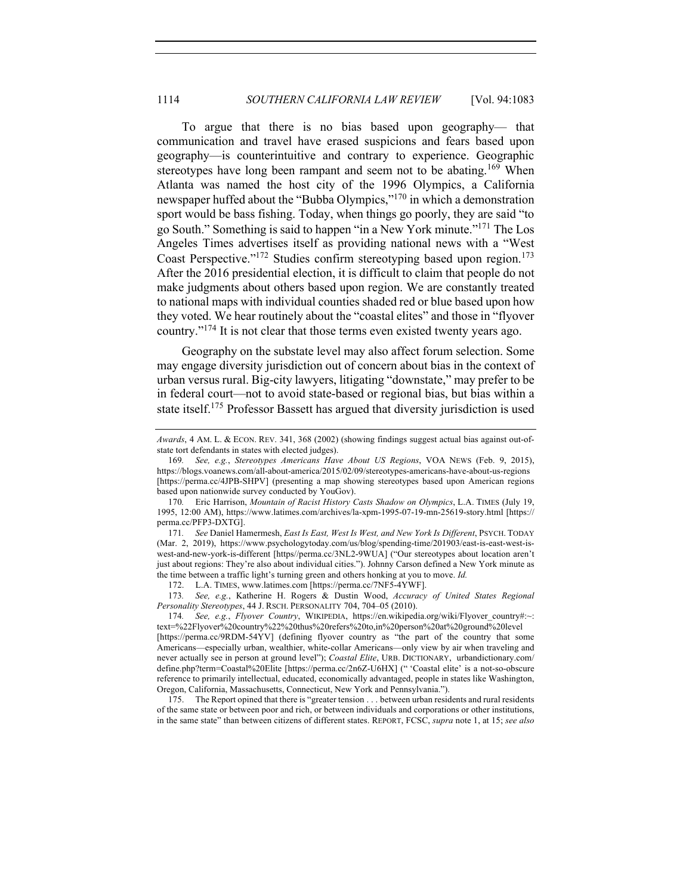To argue that there is no bias based upon geography— that communication and travel have erased suspicions and fears based upon geography—is counterintuitive and contrary to experience. Geographic stereotypes have long been rampant and seem not to be abating.<sup>169</sup> When Atlanta was named the host city of the 1996 Olympics, a California newspaper huffed about the "Bubba Olympics,"<sup>170</sup> in which a demonstration sport would be bass fishing. Today, when things go poorly, they are said "to go South." Something is said to happen "in a New York minute."171 The Los Angeles Times advertises itself as providing national news with a "West Coast Perspective."<sup>172</sup> Studies confirm stereotyping based upon region.<sup>173</sup> After the 2016 presidential election, it is difficult to claim that people do not make judgments about others based upon region. We are constantly treated to national maps with individual counties shaded red or blue based upon how they voted. We hear routinely about the "coastal elites" and those in "flyover country."<sup>174</sup> It is not clear that those terms even existed twenty years ago.

Geography on the substate level may also affect forum selection. Some may engage diversity jurisdiction out of concern about bias in the context of urban versus rural. Big-city lawyers, litigating "downstate," may prefer to be in federal court—not to avoid state-based or regional bias, but bias within a state itself.<sup>175</sup> Professor Bassett has argued that diversity jurisdiction is used

*Awards*, 4 AM. L. & ECON. REV. 341, 368 (2002) (showing findings suggest actual bias against out-ofstate tort defendants in states with elected judges).

<sup>169</sup>*. See, e.g.*, *Stereotypes Americans Have About US Regions*, VOA NEWS (Feb. 9, 2015), https://blogs.voanews.com/all-about-america/2015/02/09/stereotypes-americans-have-about-us-regions [https://perma.cc/4JPB-SHPV] (presenting a map showing stereotypes based upon American regions based upon nationwide survey conducted by YouGov).

<sup>170</sup>*.* Eric Harrison, *Mountain of Racist History Casts Shadow on Olympics*, L.A. TIMES (July 19, 1995, 12:00 AM), https://www.latimes.com/archives/la-xpm-1995-07-19-mn-25619-story.html [https:// perma.cc/PFP3-DXTG].

<sup>171</sup>*. See* Daniel Hamermesh, *East Is East, West Is West, and New York Is Different*, PSYCH. TODAY (Mar. 2, 2019), https://www.psychologytoday.com/us/blog/spending-time/201903/east-is-east-west-iswest-and-new-york-is-different [https//perma.cc/3NL2-9WUA] ("Our stereotypes about location aren't just about regions: They're also about individual cities."). Johnny Carson defined a New York minute as the time between a traffic light's turning green and others honking at you to move. *Id.*

<sup>172.</sup> L.A. TIMES, www.latimes.com [https://perma.cc/7NF5-4YWF].

<sup>173</sup>*. See, e.g.*, Katherine H. Rogers & Dustin Wood, *Accuracy of United States Regional Personality Stereotypes*, 44 J. RSCH. PERSONALITY 704, 704–05 (2010).

<sup>174</sup>*. See, e.g.*, *Flyover Country*, WIKIPEDIA, https://en.wikipedia.org/wiki/Flyover\_country#:~: text=%22Flyover%20country%22%20thus%20refers%20to,in%20person%20at%20ground%20level [https://perma.cc/9RDM-54YV] (defining flyover country as "the part of the country that some Americans—especially urban, wealthier, white-collar Americans—only view by air when traveling and never actually see in person at ground level"); *Coastal Elite*, URB. DICTIONARY, urbandictionary.com/ define.php?term=Coastal%20Elite [https://perma.cc/2n6Z-U6HX] (" 'Coastal elite' is a not-so-obscure reference to primarily intellectual, educated, economically advantaged, people in states like Washington, Oregon, California, Massachusetts, Connecticut, New York and Pennsylvania.").

<sup>175.</sup> The Report opined that there is "greater tension . . . between urban residents and rural residents of the same state or between poor and rich, or between individuals and corporations or other institutions, in the same state" than between citizens of different states. REPORT, FCSC, *supra* note 1, at 15; *see also*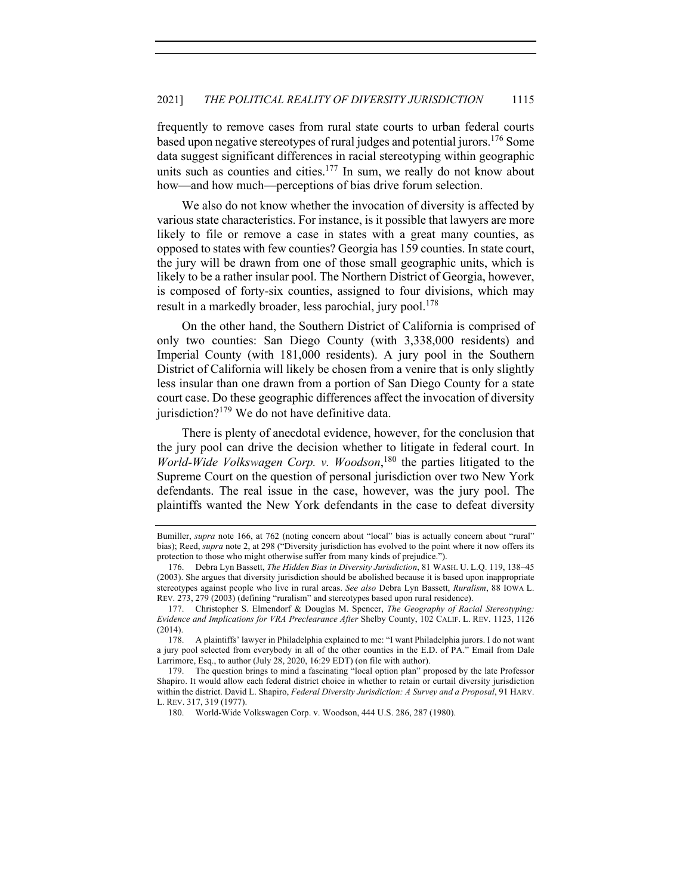frequently to remove cases from rural state courts to urban federal courts based upon negative stereotypes of rural judges and potential jurors.<sup>176</sup> Some data suggest significant differences in racial stereotyping within geographic units such as counties and cities. $177$  In sum, we really do not know about how—and how much—perceptions of bias drive forum selection.

We also do not know whether the invocation of diversity is affected by various state characteristics. For instance, is it possible that lawyers are more likely to file or remove a case in states with a great many counties, as opposed to states with few counties? Georgia has 159 counties. In state court, the jury will be drawn from one of those small geographic units, which is likely to be a rather insular pool. The Northern District of Georgia, however, is composed of forty-six counties, assigned to four divisions, which may result in a markedly broader, less parochial, jury pool.<sup>178</sup>

On the other hand, the Southern District of California is comprised of only two counties: San Diego County (with 3,338,000 residents) and Imperial County (with 181,000 residents). A jury pool in the Southern District of California will likely be chosen from a venire that is only slightly less insular than one drawn from a portion of San Diego County for a state court case. Do these geographic differences affect the invocation of diversity jurisdiction? $179$  We do not have definitive data.

There is plenty of anecdotal evidence, however, for the conclusion that the jury pool can drive the decision whether to litigate in federal court. In *World-Wide Volkswagen Corp. v. Woodson*, <sup>180</sup> the parties litigated to the Supreme Court on the question of personal jurisdiction over two New York defendants. The real issue in the case, however, was the jury pool. The plaintiffs wanted the New York defendants in the case to defeat diversity

Bumiller, *supra* note 166, at 762 (noting concern about "local" bias is actually concern about "rural" bias); Reed, *supra* note 2, at 298 ("Diversity jurisdiction has evolved to the point where it now offers its protection to those who might otherwise suffer from many kinds of prejudice.").

<sup>176.</sup> Debra Lyn Bassett, *The Hidden Bias in Diversity Jurisdiction*, 81 WASH. U. L.Q. 119, 138–45 (2003). She argues that diversity jurisdiction should be abolished because it is based upon inappropriate stereotypes against people who live in rural areas. *See also* Debra Lyn Bassett, *Ruralism*, 88 IOWA L. REV. 273, 279 (2003) (defining "ruralism" and stereotypes based upon rural residence).

<sup>177.</sup> Christopher S. Elmendorf & Douglas M. Spencer, *The Geography of Racial Stereotyping: Evidence and Implications for VRA Preclearance After* Shelby County, 102 CALIF. L. REV. 1123, 1126 (2014).

<sup>178.</sup> A plaintiffs' lawyer in Philadelphia explained to me: "I want Philadelphia jurors. I do not want a jury pool selected from everybody in all of the other counties in the E.D. of PA." Email from Dale Larrimore, Esq., to author (July 28, 2020, 16:29 EDT) (on file with author).

<sup>179.</sup> The question brings to mind a fascinating "local option plan" proposed by the late Professor Shapiro. It would allow each federal district choice in whether to retain or curtail diversity jurisdiction within the district. David L. Shapiro, *Federal Diversity Jurisdiction: A Survey and a Proposal*, 91 HARV. L. REV. 317, 319 (1977).

<sup>180.</sup> World-Wide Volkswagen Corp. v. Woodson, 444 U.S. 286, 287 (1980).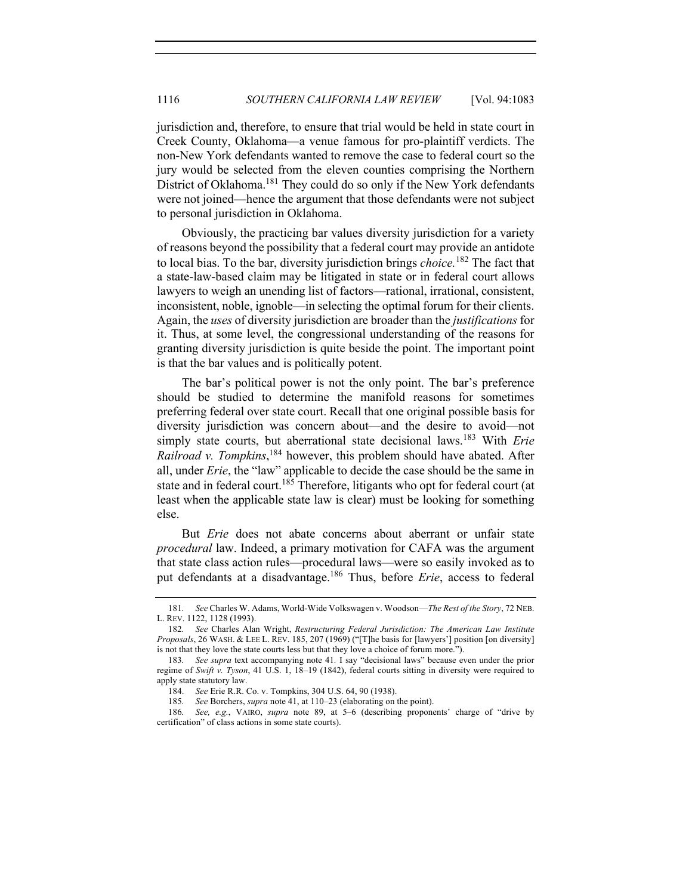jurisdiction and, therefore, to ensure that trial would be held in state court in Creek County, Oklahoma—a venue famous for pro-plaintiff verdicts. The non-New York defendants wanted to remove the case to federal court so the jury would be selected from the eleven counties comprising the Northern District of Oklahoma.<sup>181</sup> They could do so only if the New York defendants were not joined—hence the argument that those defendants were not subject to personal jurisdiction in Oklahoma.

Obviously, the practicing bar values diversity jurisdiction for a variety of reasons beyond the possibility that a federal court may provide an antidote to local bias. To the bar, diversity jurisdiction brings *choice.*<sup>182</sup> The fact that a state-law-based claim may be litigated in state or in federal court allows lawyers to weigh an unending list of factors—rational, irrational, consistent, inconsistent, noble, ignoble—in selecting the optimal forum for their clients. Again, the *uses* of diversity jurisdiction are broader than the *justifications* for it. Thus, at some level, the congressional understanding of the reasons for granting diversity jurisdiction is quite beside the point. The important point is that the bar values and is politically potent.

The bar's political power is not the only point. The bar's preference should be studied to determine the manifold reasons for sometimes preferring federal over state court. Recall that one original possible basis for diversity jurisdiction was concern about—and the desire to avoid—not simply state courts, but aberrational state decisional laws.<sup>183</sup> With *Erie Railroad v. Tompkins*, <sup>184</sup> however, this problem should have abated. After all, under *Erie*, the "law" applicable to decide the case should be the same in state and in federal court.<sup>185</sup> Therefore, litigants who opt for federal court (at least when the applicable state law is clear) must be looking for something else.

But *Erie* does not abate concerns about aberrant or unfair state *procedural* law. Indeed, a primary motivation for CAFA was the argument that state class action rules—procedural laws—were so easily invoked as to put defendants at a disadvantage.186 Thus, before *Erie*, access to federal

<sup>181</sup>*. See* Charles W. Adams, World-Wide Volkswagen v. Woodson—*The Rest of the Story*, 72 NEB. L. REV. 1122, 1128 (1993).

<sup>182</sup>*. See* Charles Alan Wright, *Restructuring Federal Jurisdiction: The American Law Institute Proposals*, 26 WASH. & LEE L. REV. 185, 207 (1969) ("[T]he basis for [lawyers'] position [on diversity] is not that they love the state courts less but that they love a choice of forum more.").

<sup>183</sup>*. See supra* text accompanying note 41*.* I say "decisional laws" because even under the prior regime of *Swift v. Tyson*, 41 U.S. 1, 18–19 (1842), federal courts sitting in diversity were required to apply state statutory law.

<sup>184.</sup> *See* Erie R.R. Co. v. Tompkins, 304 U.S. 64, 90 (1938).

<sup>185</sup>*. See* Borchers, *supra* note 41, at 110–23 (elaborating on the point).

<sup>186</sup>*. See, e.g.*, VAIRO, *supra* note 89, at 5–6 (describing proponents' charge of "drive by certification" of class actions in some state courts).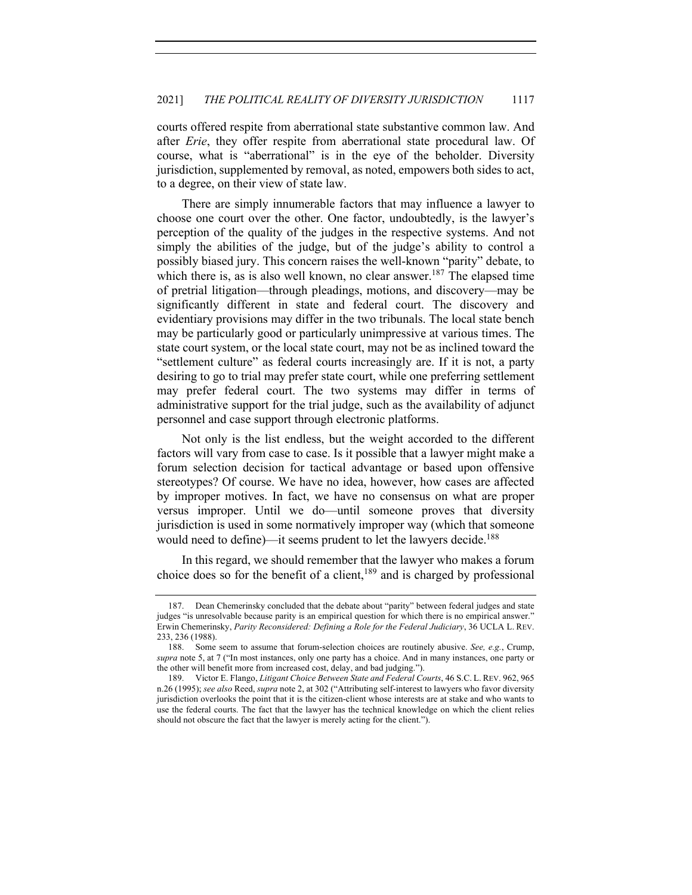courts offered respite from aberrational state substantive common law. And after *Erie*, they offer respite from aberrational state procedural law. Of course, what is "aberrational" is in the eye of the beholder. Diversity jurisdiction, supplemented by removal, as noted, empowers both sides to act, to a degree, on their view of state law.

There are simply innumerable factors that may influence a lawyer to choose one court over the other. One factor, undoubtedly, is the lawyer's perception of the quality of the judges in the respective systems. And not simply the abilities of the judge, but of the judge's ability to control a possibly biased jury. This concern raises the well-known "parity" debate, to which there is, as is also well known, no clear answer.<sup>187</sup> The elapsed time of pretrial litigation—through pleadings, motions, and discovery—may be significantly different in state and federal court. The discovery and evidentiary provisions may differ in the two tribunals. The local state bench may be particularly good or particularly unimpressive at various times. The state court system, or the local state court, may not be as inclined toward the "settlement culture" as federal courts increasingly are. If it is not, a party desiring to go to trial may prefer state court, while one preferring settlement may prefer federal court. The two systems may differ in terms of administrative support for the trial judge, such as the availability of adjunct personnel and case support through electronic platforms.

Not only is the list endless, but the weight accorded to the different factors will vary from case to case. Is it possible that a lawyer might make a forum selection decision for tactical advantage or based upon offensive stereotypes? Of course. We have no idea, however, how cases are affected by improper motives. In fact, we have no consensus on what are proper versus improper. Until we do—until someone proves that diversity jurisdiction is used in some normatively improper way (which that someone would need to define)—it seems prudent to let the lawyers decide.<sup>188</sup>

In this regard, we should remember that the lawyer who makes a forum choice does so for the benefit of a client, $189$  and is charged by professional

<sup>187.</sup> Dean Chemerinsky concluded that the debate about "parity" between federal judges and state judges "is unresolvable because parity is an empirical question for which there is no empirical answer." Erwin Chemerinsky, *Parity Reconsidered: Defining a Role for the Federal Judiciary*, 36 UCLA L. REV. 233, 236 (1988).

<sup>188.</sup> Some seem to assume that forum-selection choices are routinely abusive. *See, e.g.*, Crump, *supra* note 5, at 7 ("In most instances, only one party has a choice. And in many instances, one party or the other will benefit more from increased cost, delay, and bad judging.").

<sup>189.</sup> Victor E. Flango, *Litigant Choice Between State and Federal Courts*, 46 S.C. L. REV. 962, 965 n.26 (1995); *see also* Reed, *supra* note 2, at 302 ("Attributing self-interest to lawyers who favor diversity jurisdiction overlooks the point that it is the citizen-client whose interests are at stake and who wants to use the federal courts. The fact that the lawyer has the technical knowledge on which the client relies should not obscure the fact that the lawyer is merely acting for the client.").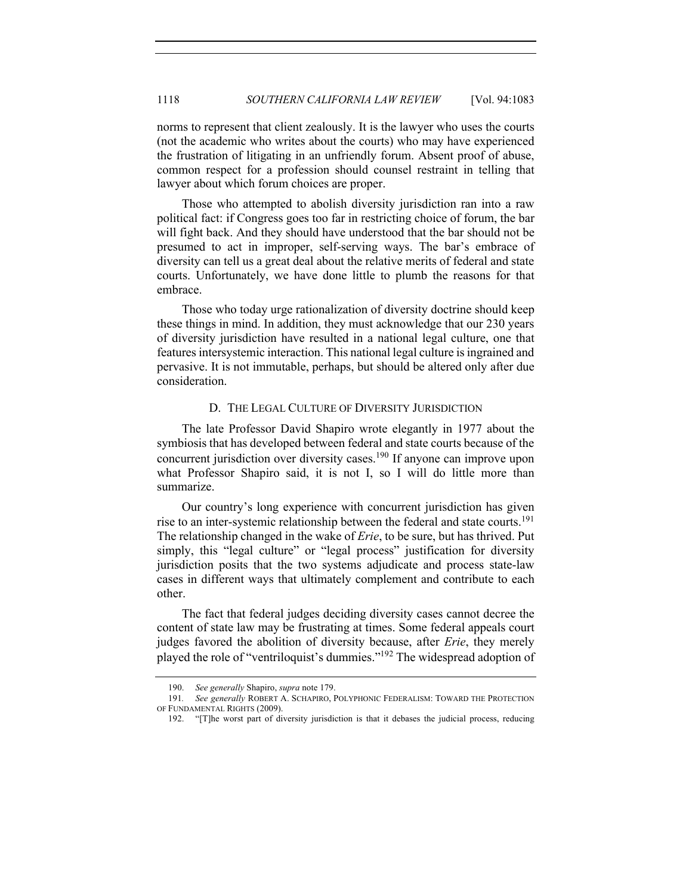norms to represent that client zealously. It is the lawyer who uses the courts (not the academic who writes about the courts) who may have experienced the frustration of litigating in an unfriendly forum. Absent proof of abuse, common respect for a profession should counsel restraint in telling that lawyer about which forum choices are proper.

Those who attempted to abolish diversity jurisdiction ran into a raw political fact: if Congress goes too far in restricting choice of forum, the bar will fight back. And they should have understood that the bar should not be presumed to act in improper, self-serving ways. The bar's embrace of diversity can tell us a great deal about the relative merits of federal and state courts. Unfortunately, we have done little to plumb the reasons for that embrace.

Those who today urge rationalization of diversity doctrine should keep these things in mind. In addition, they must acknowledge that our 230 years of diversity jurisdiction have resulted in a national legal culture, one that features intersystemic interaction. This national legal culture is ingrained and pervasive. It is not immutable, perhaps, but should be altered only after due consideration.

#### D. THE LEGAL CULTURE OF DIVERSITY JURISDICTION

The late Professor David Shapiro wrote elegantly in 1977 about the symbiosis that has developed between federal and state courts because of the concurrent jurisdiction over diversity cases.<sup>190</sup> If anyone can improve upon what Professor Shapiro said, it is not I, so I will do little more than summarize.

Our country's long experience with concurrent jurisdiction has given rise to an inter-systemic relationship between the federal and state courts.<sup>191</sup> The relationship changed in the wake of *Erie*, to be sure, but has thrived. Put simply, this "legal culture" or "legal process" justification for diversity jurisdiction posits that the two systems adjudicate and process state-law cases in different ways that ultimately complement and contribute to each other.

The fact that federal judges deciding diversity cases cannot decree the content of state law may be frustrating at times. Some federal appeals court judges favored the abolition of diversity because, after *Erie*, they merely played the role of "ventriloquist's dummies."<sup>192</sup> The widespread adoption of

<sup>190.</sup> *See generally* Shapiro, *supra* note 179.

<sup>191</sup>*. See generally* ROBERT A. SCHAPIRO, POLYPHONIC FEDERALISM: TOWARD THE PROTECTION OF FUNDAMENTAL RIGHTS (2009).

<sup>192.</sup> "[T]he worst part of diversity jurisdiction is that it debases the judicial process, reducing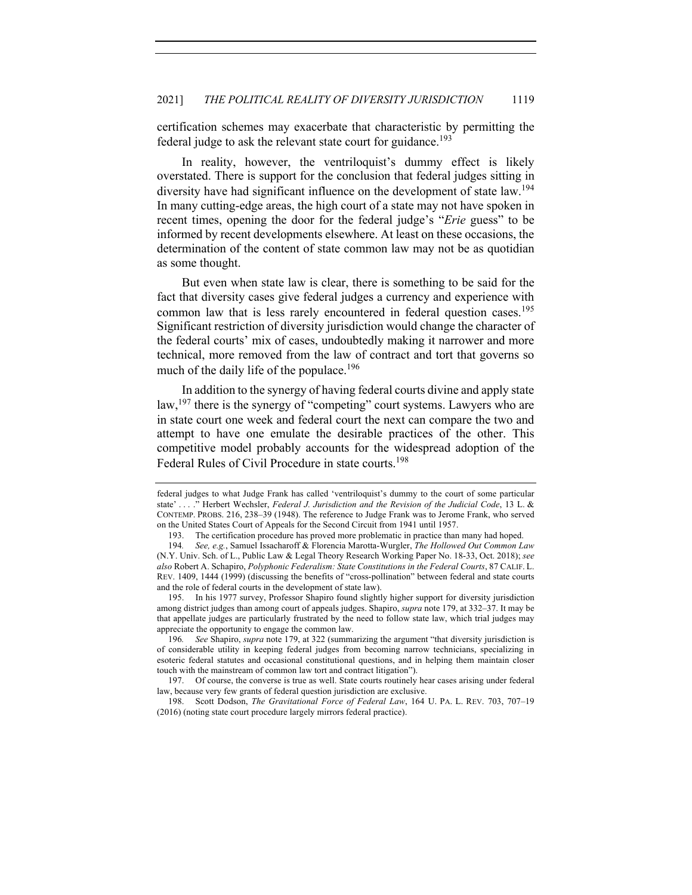certification schemes may exacerbate that characteristic by permitting the federal judge to ask the relevant state court for guidance.<sup>193</sup>

In reality, however, the ventriloquist's dummy effect is likely overstated. There is support for the conclusion that federal judges sitting in diversity have had significant influence on the development of state law.<sup>194</sup> In many cutting-edge areas, the high court of a state may not have spoken in recent times, opening the door for the federal judge's "*Erie* guess" to be informed by recent developments elsewhere. At least on these occasions, the determination of the content of state common law may not be as quotidian as some thought.

But even when state law is clear, there is something to be said for the fact that diversity cases give federal judges a currency and experience with common law that is less rarely encountered in federal question cases.<sup>195</sup> Significant restriction of diversity jurisdiction would change the character of the federal courts' mix of cases, undoubtedly making it narrower and more technical, more removed from the law of contract and tort that governs so much of the daily life of the populace.<sup>196</sup>

In addition to the synergy of having federal courts divine and apply state law,<sup>197</sup> there is the synergy of "competing" court systems. Lawyers who are in state court one week and federal court the next can compare the two and attempt to have one emulate the desirable practices of the other. This competitive model probably accounts for the widespread adoption of the Federal Rules of Civil Procedure in state courts.<sup>198</sup>

federal judges to what Judge Frank has called 'ventriloquist's dummy to the court of some particular state' . . . ." Herbert Wechsler, *Federal J. Jurisdiction and the Revision of the Judicial Code*, 13 L. & CONTEMP. PROBS. 216, 238–39 (1948). The reference to Judge Frank was to Jerome Frank, who served on the United States Court of Appeals for the Second Circuit from 1941 until 1957.

<sup>193.</sup> The certification procedure has proved more problematic in practice than many had hoped.

<sup>194</sup>*. See, e.g.*, Samuel Issacharoff & Florencia Marotta-Wurgler, *The Hollowed Out Common Law* (N.Y. Univ. Sch. of L., Public Law & Legal Theory Research Working Paper No. 18-33, Oct. 2018); *see also* Robert A. Schapiro, *Polyphonic Federalism: State Constitutions in the Federal Courts*, 87 CALIF. L. REV. 1409, 1444 (1999) (discussing the benefits of "cross-pollination" between federal and state courts and the role of federal courts in the development of state law).

<sup>195.</sup> In his 1977 survey, Professor Shapiro found slightly higher support for diversity jurisdiction among district judges than among court of appeals judges. Shapiro, *supra* note 179, at 332–37. It may be that appellate judges are particularly frustrated by the need to follow state law, which trial judges may appreciate the opportunity to engage the common law.

<sup>196</sup>*. See* Shapiro, *supra* note 179, at 322 (summarizing the argument "that diversity jurisdiction is of considerable utility in keeping federal judges from becoming narrow technicians, specializing in esoteric federal statutes and occasional constitutional questions, and in helping them maintain closer touch with the mainstream of common law tort and contract litigation").

<sup>197.</sup> Of course, the converse is true as well. State courts routinely hear cases arising under federal law, because very few grants of federal question jurisdiction are exclusive.

<sup>198.</sup> Scott Dodson, *The Gravitational Force of Federal Law*, 164 U. PA. L. REV. 703, 707–19 (2016) (noting state court procedure largely mirrors federal practice).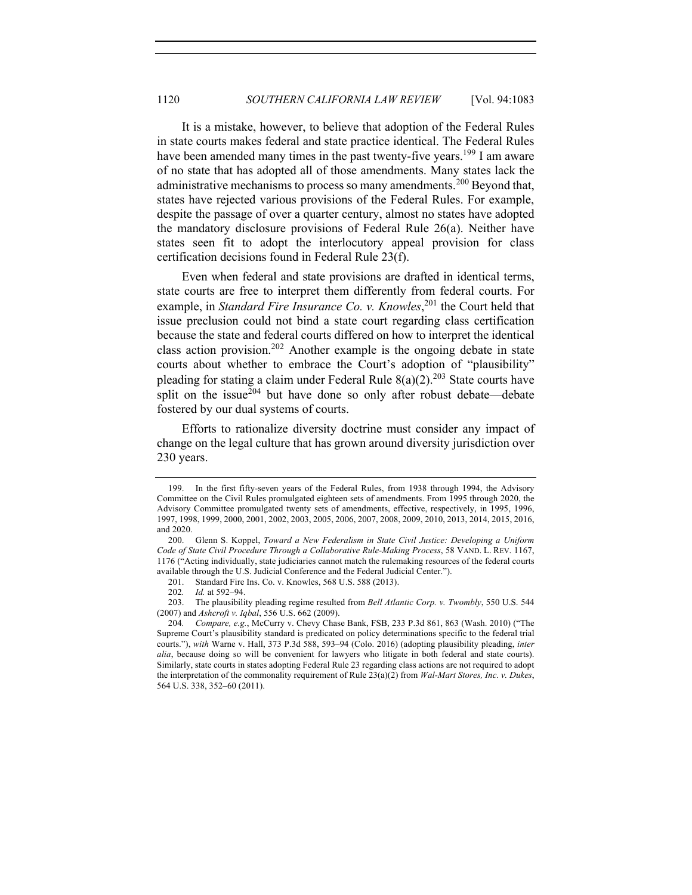It is a mistake, however, to believe that adoption of the Federal Rules in state courts makes federal and state practice identical. The Federal Rules have been amended many times in the past twenty-five years.<sup>199</sup> I am aware of no state that has adopted all of those amendments. Many states lack the administrative mechanisms to process so many amendments.<sup>200</sup> Beyond that, states have rejected various provisions of the Federal Rules. For example, despite the passage of over a quarter century, almost no states have adopted the mandatory disclosure provisions of Federal Rule 26(a). Neither have states seen fit to adopt the interlocutory appeal provision for class certification decisions found in Federal Rule 23(f).

Even when federal and state provisions are drafted in identical terms, state courts are free to interpret them differently from federal courts. For example, in *Standard Fire Insurance Co. v. Knowles*, <sup>201</sup> the Court held that issue preclusion could not bind a state court regarding class certification because the state and federal courts differed on how to interpret the identical class action provision.<sup>202</sup> Another example is the ongoing debate in state courts about whether to embrace the Court's adoption of "plausibility" pleading for stating a claim under Federal Rule  $8(a)(2)$ .<sup>203</sup> State courts have split on the issue $\frac{1}{204}$  but have done so only after robust debate—debate fostered by our dual systems of courts.

Efforts to rationalize diversity doctrine must consider any impact of change on the legal culture that has grown around diversity jurisdiction over 230 years.

<sup>199.</sup> In the first fifty-seven years of the Federal Rules, from 1938 through 1994, the Advisory Committee on the Civil Rules promulgated eighteen sets of amendments. From 1995 through 2020, the Advisory Committee promulgated twenty sets of amendments, effective, respectively, in 1995, 1996, 1997, 1998, 1999, 2000, 2001, 2002, 2003, 2005, 2006, 2007, 2008, 2009, 2010, 2013, 2014, 2015, 2016, and 2020.

<sup>200.</sup> Glenn S. Koppel, *Toward a New Federalism in State Civil Justice: Developing a Uniform Code of State Civil Procedure Through a Collaborative Rule-Making Process*, 58 VAND. L. REV. 1167, 1176 ("Acting individually, state judiciaries cannot match the rulemaking resources of the federal courts available through the U.S. Judicial Conference and the Federal Judicial Center.").

<sup>201.</sup> Standard Fire Ins. Co. v. Knowles, 568 U.S. 588 (2013).

<sup>202</sup>*. Id.* at 592–94.

<sup>203.</sup> The plausibility pleading regime resulted from *Bell Atlantic Corp. v. Twombly*, 550 U.S. 544 (2007) and *Ashcroft v. Iqbal*, 556 U.S. 662 (2009).

<sup>204</sup>*. Compare, e.g.*, McCurry v. Chevy Chase Bank, FSB, 233 P.3d 861, 863 (Wash. 2010) ("The Supreme Court's plausibility standard is predicated on policy determinations specific to the federal trial courts."), *with* Warne v. Hall, 373 P.3d 588, 593–94 (Colo. 2016) (adopting plausibility pleading, *inter alia*, because doing so will be convenient for lawyers who litigate in both federal and state courts). Similarly, state courts in states adopting Federal Rule 23 regarding class actions are not required to adopt the interpretation of the commonality requirement of Rule 23(a)(2) from *Wal-Mart Stores, Inc. v. Dukes*, 564 U.S. 338, 352–60 (2011).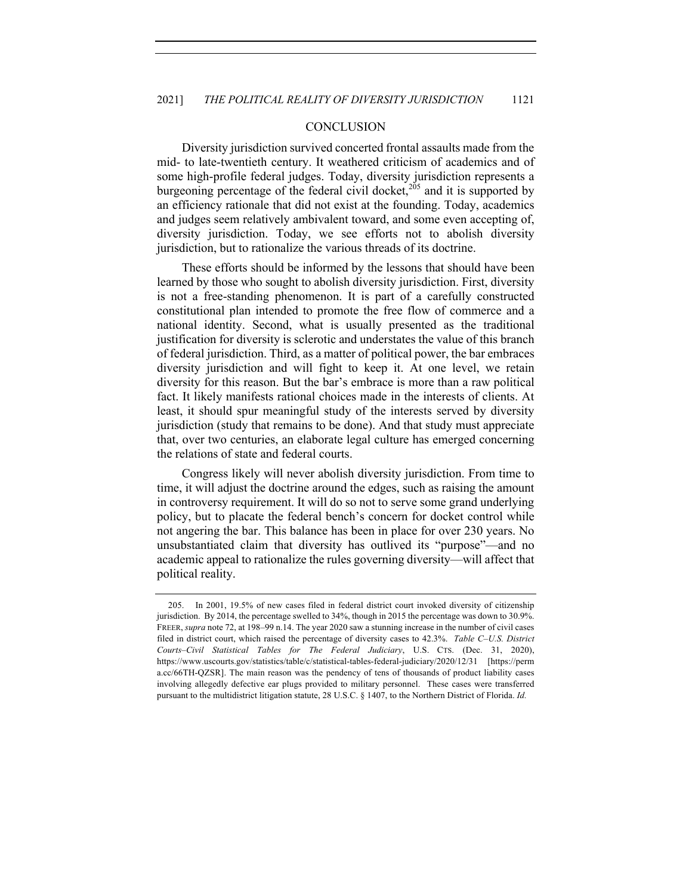#### **CONCLUSION**

Diversity jurisdiction survived concerted frontal assaults made from the mid- to late-twentieth century. It weathered criticism of academics and of some high-profile federal judges. Today, diversity jurisdiction represents a burgeoning percentage of the federal civil docket,<sup>205</sup> and it is supported by an efficiency rationale that did not exist at the founding. Today, academics and judges seem relatively ambivalent toward, and some even accepting of, diversity jurisdiction. Today, we see efforts not to abolish diversity jurisdiction, but to rationalize the various threads of its doctrine.

These efforts should be informed by the lessons that should have been learned by those who sought to abolish diversity jurisdiction. First, diversity is not a free-standing phenomenon. It is part of a carefully constructed constitutional plan intended to promote the free flow of commerce and a national identity. Second, what is usually presented as the traditional justification for diversity is sclerotic and understates the value of this branch of federal jurisdiction. Third, as a matter of political power, the bar embraces diversity jurisdiction and will fight to keep it. At one level, we retain diversity for this reason. But the bar's embrace is more than a raw political fact. It likely manifests rational choices made in the interests of clients. At least, it should spur meaningful study of the interests served by diversity jurisdiction (study that remains to be done). And that study must appreciate that, over two centuries, an elaborate legal culture has emerged concerning the relations of state and federal courts.

Congress likely will never abolish diversity jurisdiction. From time to time, it will adjust the doctrine around the edges, such as raising the amount in controversy requirement. It will do so not to serve some grand underlying policy, but to placate the federal bench's concern for docket control while not angering the bar. This balance has been in place for over 230 years. No unsubstantiated claim that diversity has outlived its "purpose"—and no academic appeal to rationalize the rules governing diversity—will affect that political reality.

<sup>205.</sup> In 2001, 19.5% of new cases filed in federal district court invoked diversity of citizenship jurisdiction. By 2014, the percentage swelled to 34%, though in 2015 the percentage was down to 30.9%. FREER, *supra* note 72, at 198–99 n.14. The year 2020 saw a stunning increase in the number of civil cases filed in district court, which raised the percentage of diversity cases to 42.3%. *Table C–U.S. District Courts–Civil Statistical Tables for The Federal Judiciary*, U.S. CTS. (Dec. 31, 2020), https://www.uscourts.gov/statistics/table/c/statistical-tables-federal-judiciary/2020/12/31 [https://perm a.cc/66TH-QZSR]. The main reason was the pendency of tens of thousands of product liability cases involving allegedly defective ear plugs provided to military personnel. These cases were transferred pursuant to the multidistrict litigation statute, 28 U.S.C. § 1407, to the Northern District of Florida. *Id.*